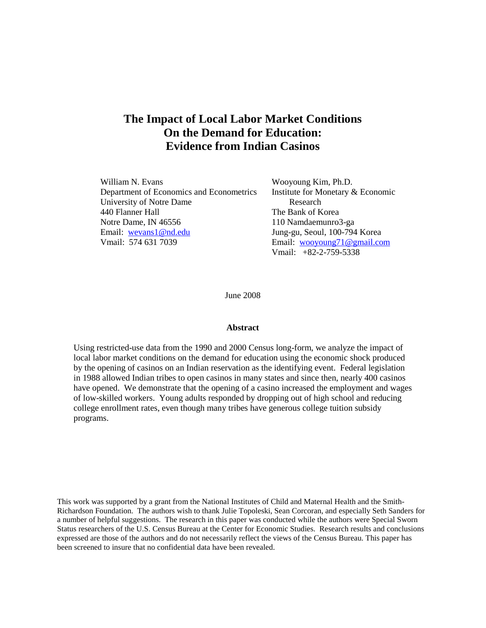# **The Impact of Local Labor Market Conditions On the Demand for Education: Evidence from Indian Casinos**

| William N. Evans                         | Wooyoung Kim, Ph.D.               |
|------------------------------------------|-----------------------------------|
| Department of Economics and Econometrics | Institute for Monetary & Economic |
| University of Notre Dame                 | Research                          |
| 440 Flanner Hall                         | The Bank of Korea                 |
| Notre Dame, IN 46556                     | 110 Namdaemunro3-ga               |
| Email: wevans1@nd.edu                    | Jung-gu, Seoul, 100-794 Korea     |
| Vmail: 574 631 7039                      | Email: wooyoung71@gmail.com       |
|                                          | Vmail: $+82-2-759-5338$           |

June 2008

#### **Abstract**

Using restricted-use data from the 1990 and 2000 Census long-form, we analyze the impact of local labor market conditions on the demand for education using the economic shock produced by the opening of casinos on an Indian reservation as the identifying event. Federal legislation in 1988 allowed Indian tribes to open casinos in many states and since then, nearly 400 casinos have opened. We demonstrate that the opening of a casino increased the employment and wages of low-skilled workers. Young adults responded by dropping out of high school and reducing college enrollment rates, even though many tribes have generous college tuition subsidy programs.

This work was supported by a grant from the National Institutes of Child and Maternal Health and the Smith-Richardson Foundation. The authors wish to thank Julie Topoleski, Sean Corcoran, and especially Seth Sanders for a number of helpful suggestions. The research in this paper was conducted while the authors were Special Sworn Status researchers of the U.S. Census Bureau at the Center for Economic Studies. Research results and conclusions expressed are those of the authors and do not necessarily reflect the views of the Census Bureau. This paper has been screened to insure that no confidential data have been revealed.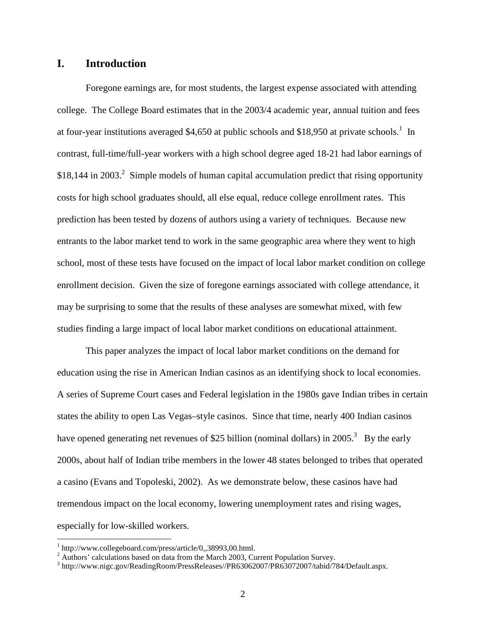# **I. Introduction**

 Foregone earnings are, for most students, the largest expense associated with attending college. The College Board estimates that in the 2003/4 academic year, annual tuition and fees at four-year institutions averaged \$4,650 at public schools and \$18,950 at private schools.<sup>1</sup> In contrast, full-time/full-year workers with a high school degree aged 18-21 had labor earnings of  $$18,144$  in 2003.<sup>2</sup> Simple models of human capital accumulation predict that rising opportunity costs for high school graduates should, all else equal, reduce college enrollment rates. This prediction has been tested by dozens of authors using a variety of techniques. Because new entrants to the labor market tend to work in the same geographic area where they went to high school, most of these tests have focused on the impact of local labor market condition on college enrollment decision. Given the size of foregone earnings associated with college attendance, it may be surprising to some that the results of these analyses are somewhat mixed, with few studies finding a large impact of local labor market conditions on educational attainment.

 This paper analyzes the impact of local labor market conditions on the demand for education using the rise in American Indian casinos as an identifying shock to local economies. A series of Supreme Court cases and Federal legislation in the 1980s gave Indian tribes in certain states the ability to open Las Vegas–style casinos. Since that time, nearly 400 Indian casinos have opened generating net revenues of \$25 billion (nominal dollars) in 2005.<sup>3</sup> By the early 2000s, about half of Indian tribe members in the lower 48 states belonged to tribes that operated a casino (Evans and Topoleski, 2002). As we demonstrate below, these casinos have had tremendous impact on the local economy, lowering unemployment rates and rising wages, especially for low-skilled workers.

 $\overline{a}$ 

<sup>1</sup> http://www.collegeboard.com/press/article/0,,38993,00.html.

 $2 \text{ Authors'}$  calculations based on data from the March 2003, Current Population Survey.

<sup>&</sup>lt;sup>3</sup> http://www.nigc.gov/ReadingRoom/PressReleases//PR63062007/PR63072007/tabid/784/Default.aspx.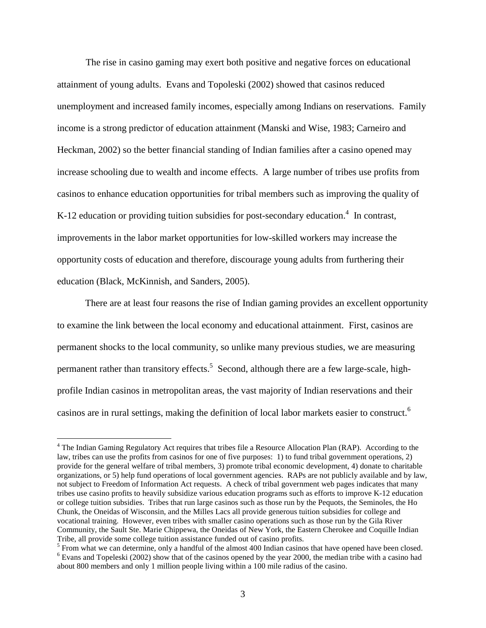The rise in casino gaming may exert both positive and negative forces on educational attainment of young adults. Evans and Topoleski (2002) showed that casinos reduced unemployment and increased family incomes, especially among Indians on reservations. Family income is a strong predictor of education attainment (Manski and Wise, 1983; Carneiro and Heckman, 2002) so the better financial standing of Indian families after a casino opened may increase schooling due to wealth and income effects. A large number of tribes use profits from casinos to enhance education opportunities for tribal members such as improving the quality of K-12 education or providing tuition subsidies for post-secondary education.<sup>4</sup> In contrast, improvements in the labor market opportunities for low-skilled workers may increase the opportunity costs of education and therefore, discourage young adults from furthering their education (Black, McKinnish, and Sanders, 2005).

There are at least four reasons the rise of Indian gaming provides an excellent opportunity to examine the link between the local economy and educational attainment. First, casinos are permanent shocks to the local community, so unlike many previous studies, we are measuring permanent rather than transitory effects.<sup>5</sup> Second, although there are a few large-scale, highprofile Indian casinos in metropolitan areas, the vast majority of Indian reservations and their casinos are in rural settings, making the definition of local labor markets easier to construct.<sup>6</sup>

 $\overline{a}$ 

<sup>&</sup>lt;sup>4</sup> The Indian Gaming Regulatory Act requires that tribes file a Resource Allocation Plan (RAP). According to the law, tribes can use the profits from casinos for one of five purposes: 1) to fund tribal government operations, 2) provide for the general welfare of tribal members, 3) promote tribal economic development, 4) donate to charitable organizations, or 5) help fund operations of local government agencies. RAPs are not publicly available and by law, not subject to Freedom of Information Act requests. A check of tribal government web pages indicates that many tribes use casino profits to heavily subsidize various education programs such as efforts to improve K-12 education or college tuition subsidies. Tribes that run large casinos such as those run by the Pequots, the Seminoles, the Ho Chunk, the Oneidas of Wisconsin, and the Milles Lacs all provide generous tuition subsidies for college and vocational training. However, even tribes with smaller casino operations such as those run by the Gila River Community, the Sault Ste. Marie Chippewa, the Oneidas of New York, the Eastern Cherokee and Coquille Indian Tribe, all provide some college tuition assistance funded out of casino profits.

 $<sup>5</sup>$  From what we can determine, only a handful of the almost 400 Indian casinos that have opened have been closed.</sup> <sup>6</sup> Evans and Topeleski (2002) show that of the casinos opened by the year 2000, the median tribe with a casino had about 800 members and only 1 million people living within a 100 mile radius of the casino.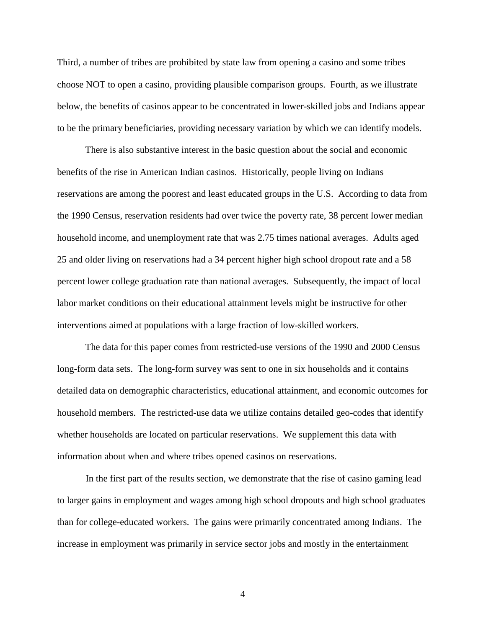Third, a number of tribes are prohibited by state law from opening a casino and some tribes choose NOT to open a casino, providing plausible comparison groups. Fourth, as we illustrate below, the benefits of casinos appear to be concentrated in lower-skilled jobs and Indians appear to be the primary beneficiaries, providing necessary variation by which we can identify models.

There is also substantive interest in the basic question about the social and economic benefits of the rise in American Indian casinos. Historically, people living on Indians reservations are among the poorest and least educated groups in the U.S. According to data from the 1990 Census, reservation residents had over twice the poverty rate, 38 percent lower median household income, and unemployment rate that was 2.75 times national averages. Adults aged 25 and older living on reservations had a 34 percent higher high school dropout rate and a 58 percent lower college graduation rate than national averages. Subsequently, the impact of local labor market conditions on their educational attainment levels might be instructive for other interventions aimed at populations with a large fraction of low-skilled workers.

The data for this paper comes from restricted-use versions of the 1990 and 2000 Census long-form data sets. The long-form survey was sent to one in six households and it contains detailed data on demographic characteristics, educational attainment, and economic outcomes for household members. The restricted-use data we utilize contains detailed geo-codes that identify whether households are located on particular reservations. We supplement this data with information about when and where tribes opened casinos on reservations.

 In the first part of the results section, we demonstrate that the rise of casino gaming lead to larger gains in employment and wages among high school dropouts and high school graduates than for college-educated workers. The gains were primarily concentrated among Indians. The increase in employment was primarily in service sector jobs and mostly in the entertainment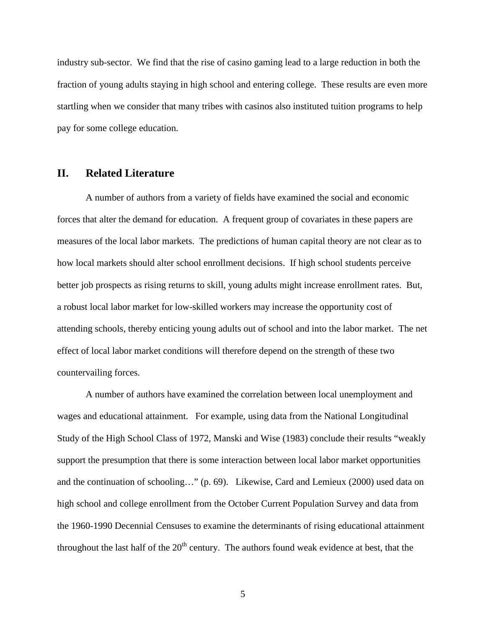industry sub-sector. We find that the rise of casino gaming lead to a large reduction in both the fraction of young adults staying in high school and entering college. These results are even more startling when we consider that many tribes with casinos also instituted tuition programs to help pay for some college education.

# **II. Related Literature**

 A number of authors from a variety of fields have examined the social and economic forces that alter the demand for education. A frequent group of covariates in these papers are measures of the local labor markets. The predictions of human capital theory are not clear as to how local markets should alter school enrollment decisions. If high school students perceive better job prospects as rising returns to skill, young adults might increase enrollment rates. But, a robust local labor market for low-skilled workers may increase the opportunity cost of attending schools, thereby enticing young adults out of school and into the labor market. The net effect of local labor market conditions will therefore depend on the strength of these two countervailing forces.

 A number of authors have examined the correlation between local unemployment and wages and educational attainment. For example, using data from the National Longitudinal Study of the High School Class of 1972, Manski and Wise (1983) conclude their results "weakly support the presumption that there is some interaction between local labor market opportunities and the continuation of schooling…" (p. 69). Likewise, Card and Lemieux (2000) used data on high school and college enrollment from the October Current Population Survey and data from the 1960-1990 Decennial Censuses to examine the determinants of rising educational attainment throughout the last half of the  $20<sup>th</sup>$  century. The authors found weak evidence at best, that the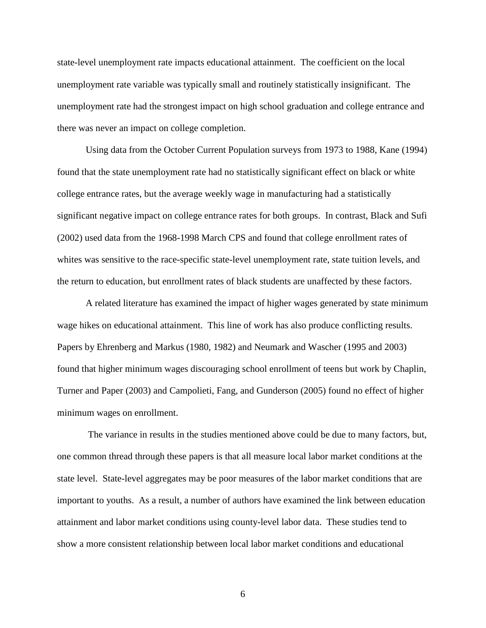state-level unemployment rate impacts educational attainment. The coefficient on the local unemployment rate variable was typically small and routinely statistically insignificant. The unemployment rate had the strongest impact on high school graduation and college entrance and there was never an impact on college completion.

Using data from the October Current Population surveys from 1973 to 1988, Kane (1994) found that the state unemployment rate had no statistically significant effect on black or white college entrance rates, but the average weekly wage in manufacturing had a statistically significant negative impact on college entrance rates for both groups. In contrast, Black and Sufi (2002) used data from the 1968-1998 March CPS and found that college enrollment rates of whites was sensitive to the race-specific state-level unemployment rate, state tuition levels, and the return to education, but enrollment rates of black students are unaffected by these factors.

 A related literature has examined the impact of higher wages generated by state minimum wage hikes on educational attainment. This line of work has also produce conflicting results. Papers by Ehrenberg and Markus (1980, 1982) and Neumark and Wascher (1995 and 2003) found that higher minimum wages discouraging school enrollment of teens but work by Chaplin, Turner and Paper (2003) and Campolieti, Fang, and Gunderson (2005) found no effect of higher minimum wages on enrollment.

 The variance in results in the studies mentioned above could be due to many factors, but, one common thread through these papers is that all measure local labor market conditions at the state level. State-level aggregates may be poor measures of the labor market conditions that are important to youths. As a result, a number of authors have examined the link between education attainment and labor market conditions using county-level labor data. These studies tend to show a more consistent relationship between local labor market conditions and educational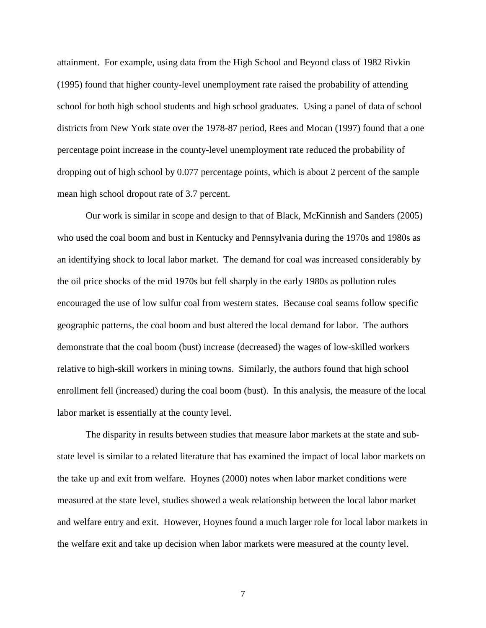attainment. For example, using data from the High School and Beyond class of 1982 Rivkin (1995) found that higher county-level unemployment rate raised the probability of attending school for both high school students and high school graduates. Using a panel of data of school districts from New York state over the 1978-87 period, Rees and Mocan (1997) found that a one percentage point increase in the county-level unemployment rate reduced the probability of dropping out of high school by 0.077 percentage points, which is about 2 percent of the sample mean high school dropout rate of 3.7 percent.

Our work is similar in scope and design to that of Black, McKinnish and Sanders (2005) who used the coal boom and bust in Kentucky and Pennsylvania during the 1970s and 1980s as an identifying shock to local labor market. The demand for coal was increased considerably by the oil price shocks of the mid 1970s but fell sharply in the early 1980s as pollution rules encouraged the use of low sulfur coal from western states. Because coal seams follow specific geographic patterns, the coal boom and bust altered the local demand for labor. The authors demonstrate that the coal boom (bust) increase (decreased) the wages of low-skilled workers relative to high-skill workers in mining towns. Similarly, the authors found that high school enrollment fell (increased) during the coal boom (bust). In this analysis, the measure of the local labor market is essentially at the county level.

The disparity in results between studies that measure labor markets at the state and substate level is similar to a related literature that has examined the impact of local labor markets on the take up and exit from welfare. Hoynes (2000) notes when labor market conditions were measured at the state level, studies showed a weak relationship between the local labor market and welfare entry and exit. However, Hoynes found a much larger role for local labor markets in the welfare exit and take up decision when labor markets were measured at the county level.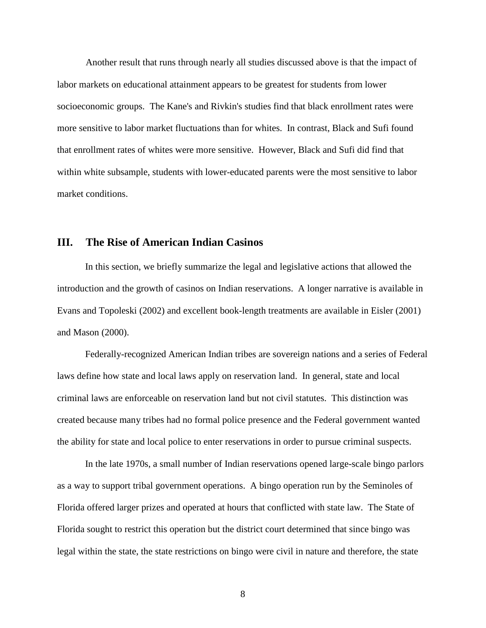Another result that runs through nearly all studies discussed above is that the impact of labor markets on educational attainment appears to be greatest for students from lower socioeconomic groups. The Kane's and Rivkin's studies find that black enrollment rates were more sensitive to labor market fluctuations than for whites. In contrast, Black and Sufi found that enrollment rates of whites were more sensitive. However, Black and Sufi did find that within white subsample, students with lower-educated parents were the most sensitive to labor market conditions.

# **III. The Rise of American Indian Casinos**

In this section, we briefly summarize the legal and legislative actions that allowed the introduction and the growth of casinos on Indian reservations. A longer narrative is available in Evans and Topoleski (2002) and excellent book-length treatments are available in Eisler (2001) and Mason (2000).

Federally-recognized American Indian tribes are sovereign nations and a series of Federal laws define how state and local laws apply on reservation land. In general, state and local criminal laws are enforceable on reservation land but not civil statutes. This distinction was created because many tribes had no formal police presence and the Federal government wanted the ability for state and local police to enter reservations in order to pursue criminal suspects.

In the late 1970s, a small number of Indian reservations opened large-scale bingo parlors as a way to support tribal government operations. A bingo operation run by the Seminoles of Florida offered larger prizes and operated at hours that conflicted with state law. The State of Florida sought to restrict this operation but the district court determined that since bingo was legal within the state, the state restrictions on bingo were civil in nature and therefore, the state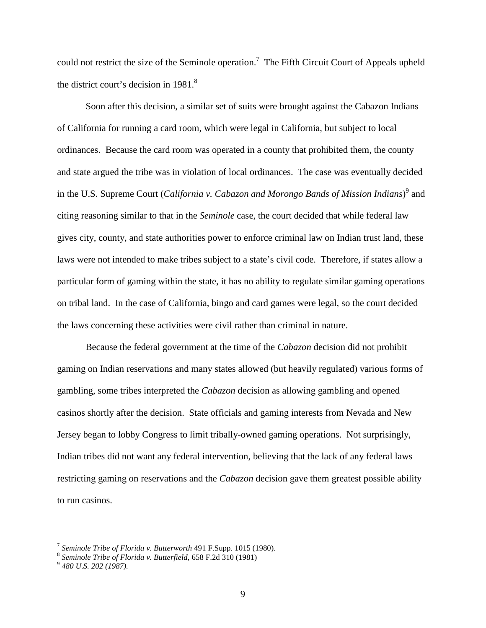could not restrict the size of the Seminole operation.<sup>7</sup> The Fifth Circuit Court of Appeals upheld the district court's decision in  $1981$ .<sup>8</sup>

 Soon after this decision, a similar set of suits were brought against the Cabazon Indians of California for running a card room, which were legal in California, but subject to local ordinances. Because the card room was operated in a county that prohibited them, the county and state argued the tribe was in violation of local ordinances. The case was eventually decided in the U.S. Supreme Court (*California v. Cabazon and Morongo Bands of Mission Indians*)<sup>9</sup> and citing reasoning similar to that in the *Seminole* case, the court decided that while federal law gives city, county, and state authorities power to enforce criminal law on Indian trust land, these laws were not intended to make tribes subject to a state's civil code. Therefore, if states allow a particular form of gaming within the state, it has no ability to regulate similar gaming operations on tribal land. In the case of California, bingo and card games were legal, so the court decided the laws concerning these activities were civil rather than criminal in nature.

 Because the federal government at the time of the *Cabazon* decision did not prohibit gaming on Indian reservations and many states allowed (but heavily regulated) various forms of gambling, some tribes interpreted the *Cabazon* decision as allowing gambling and opened casinos shortly after the decision. State officials and gaming interests from Nevada and New Jersey began to lobby Congress to limit tribally-owned gaming operations. Not surprisingly, Indian tribes did not want any federal intervention, believing that the lack of any federal laws restricting gaming on reservations and the *Cabazon* decision gave them greatest possible ability to run casinos.

 7 *Seminole Tribe of Florida v. Butterworth* 491 F.Supp. 1015 (1980).

<sup>8</sup> *Seminole Tribe of Florida v. Butterfield*, 658 F.2d 310 (1981)

<sup>9</sup> *480 U.S. 202 (1987).*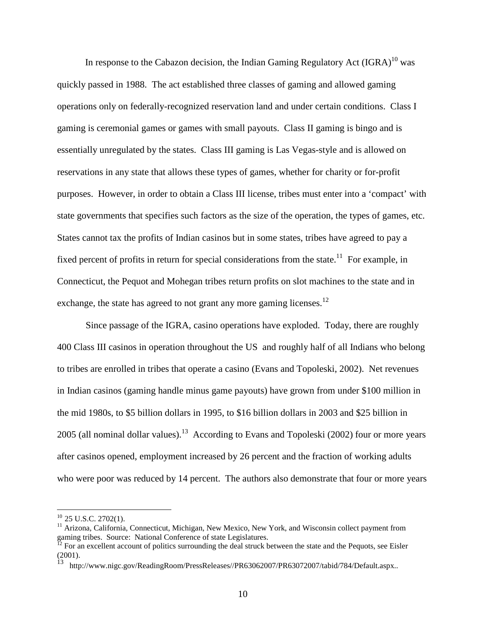In response to the Cabazon decision, the Indian Gaming Regulatory Act  $(IGRA)^{10}$  was quickly passed in 1988. The act established three classes of gaming and allowed gaming operations only on federally-recognized reservation land and under certain conditions. Class I gaming is ceremonial games or games with small payouts. Class II gaming is bingo and is essentially unregulated by the states. Class III gaming is Las Vegas-style and is allowed on reservations in any state that allows these types of games, whether for charity or for-profit purposes. However, in order to obtain a Class III license, tribes must enter into a 'compact' with state governments that specifies such factors as the size of the operation, the types of games, etc. States cannot tax the profits of Indian casinos but in some states, tribes have agreed to pay a fixed percent of profits in return for special considerations from the state.<sup>11</sup> For example, in Connecticut, the Pequot and Mohegan tribes return profits on slot machines to the state and in exchange, the state has agreed to not grant any more gaming licenses.<sup>12</sup>

 Since passage of the IGRA, casino operations have exploded. Today, there are roughly 400 Class III casinos in operation throughout the US and roughly half of all Indians who belong to tribes are enrolled in tribes that operate a casino (Evans and Topoleski, 2002). Net revenues in Indian casinos (gaming handle minus game payouts) have grown from under \$100 million in the mid 1980s, to \$5 billion dollars in 1995, to \$16 billion dollars in 2003 and \$25 billion in 2005 (all nominal dollar values).<sup>13</sup> According to Evans and Topoleski (2002) four or more years after casinos opened, employment increased by 26 percent and the fraction of working adults who were poor was reduced by 14 percent. The authors also demonstrate that four or more years

-

 $10$  25 U.S.C. 2702(1).

<sup>&</sup>lt;sup>11</sup> Arizona, California, Connecticut, Michigan, New Mexico, New York, and Wisconsin collect payment from gaming tribes. Source: National Conference of state Legislatures.

 $^{12}$  For an excellent account of politics surrounding the deal struck between the state and the Pequots, see Eisler (2001).

<sup>13</sup> http://www.nigc.gov/ReadingRoom/PressReleases//PR63062007/PR63072007/tabid/784/Default.aspx..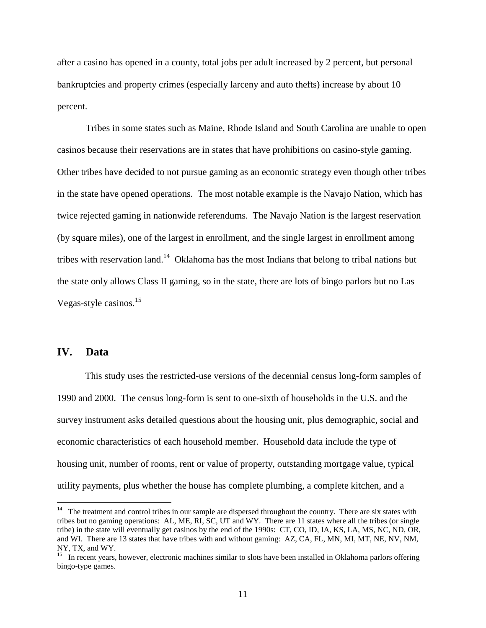after a casino has opened in a county, total jobs per adult increased by 2 percent, but personal bankruptcies and property crimes (especially larceny and auto thefts) increase by about 10 percent.

Tribes in some states such as Maine, Rhode Island and South Carolina are unable to open casinos because their reservations are in states that have prohibitions on casino-style gaming. Other tribes have decided to not pursue gaming as an economic strategy even though other tribes in the state have opened operations. The most notable example is the Navajo Nation, which has twice rejected gaming in nationwide referendums. The Navajo Nation is the largest reservation (by square miles), one of the largest in enrollment, and the single largest in enrollment among tribes with reservation land.<sup>14</sup> Oklahoma has the most Indians that belong to tribal nations but the state only allows Class II gaming, so in the state, there are lots of bingo parlors but no Las Vegas-style casinos.<sup>15</sup>

# **IV. Data**

<u>.</u>

This study uses the restricted-use versions of the decennial census long-form samples of 1990 and 2000. The census long-form is sent to one-sixth of households in the U.S. and the survey instrument asks detailed questions about the housing unit, plus demographic, social and economic characteristics of each household member. Household data include the type of housing unit, number of rooms, rent or value of property, outstanding mortgage value, typical utility payments, plus whether the house has complete plumbing, a complete kitchen, and a

 $14$  The treatment and control tribes in our sample are dispersed throughout the country. There are six states with tribes but no gaming operations: AL, ME, RI, SC, UT and WY. There are 11 states where all the tribes (or single tribe) in the state will eventually get casinos by the end of the 1990s: CT, CO, ID, IA, KS, LA, MS, NC, ND, OR, and WI. There are 13 states that have tribes with and without gaming: AZ, CA, FL, MN, MI, MT, NE, NV, NM, NY, TX, and WY.

<sup>&</sup>lt;sup>15</sup> In recent years, however, electronic machines similar to slots have been installed in Oklahoma parlors offering bingo-type games.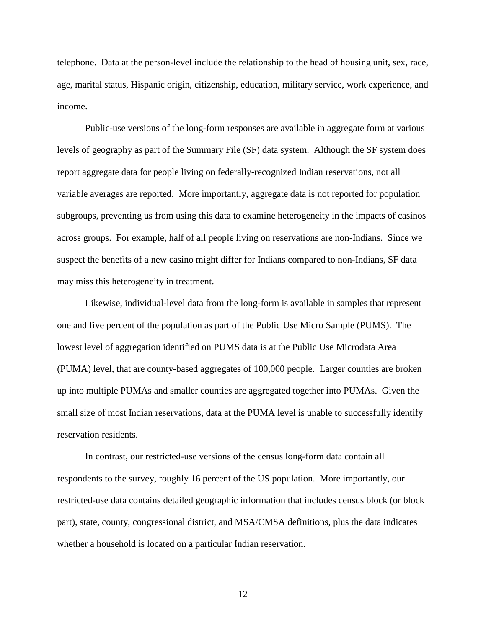telephone. Data at the person-level include the relationship to the head of housing unit, sex, race, age, marital status, Hispanic origin, citizenship, education, military service, work experience, and income.

Public-use versions of the long-form responses are available in aggregate form at various levels of geography as part of the Summary File (SF) data system. Although the SF system does report aggregate data for people living on federally-recognized Indian reservations, not all variable averages are reported. More importantly, aggregate data is not reported for population subgroups, preventing us from using this data to examine heterogeneity in the impacts of casinos across groups. For example, half of all people living on reservations are non-Indians. Since we suspect the benefits of a new casino might differ for Indians compared to non-Indians, SF data may miss this heterogeneity in treatment.

Likewise, individual-level data from the long-form is available in samples that represent one and five percent of the population as part of the Public Use Micro Sample (PUMS). The lowest level of aggregation identified on PUMS data is at the Public Use Microdata Area (PUMA) level, that are county-based aggregates of 100,000 people. Larger counties are broken up into multiple PUMAs and smaller counties are aggregated together into PUMAs. Given the small size of most Indian reservations, data at the PUMA level is unable to successfully identify reservation residents.

In contrast, our restricted-use versions of the census long-form data contain all respondents to the survey, roughly 16 percent of the US population. More importantly, our restricted-use data contains detailed geographic information that includes census block (or block part), state, county, congressional district, and MSA/CMSA definitions, plus the data indicates whether a household is located on a particular Indian reservation.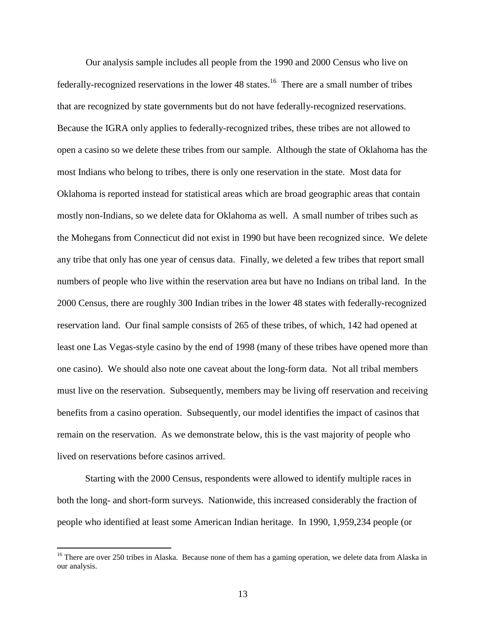Our analysis sample includes all people from the 1990 and 2000 Census who live on federally-recognized reservations in the lower 48 states.<sup>16</sup> There are a small number of tribes that are recognized by state governments but do not have federally-recognized reservations. Because the IGRA only applies to federally-recognized tribes, these tribes are not allowed to open a casino so we delete these tribes from our sample. Although the state of Oklahoma has the most Indians who belong to tribes, there is only one reservation in the state. Most data for Oklahoma is reported instead for statistical areas which are broad geographic areas that contain mostly non-Indians, so we delete data for Oklahoma as well. A small number of tribes such as the Mohegans from Connecticut did not exist in 1990 but have been recognized since. We delete any tribe that only has one year of census data. Finally, we deleted a few tribes that report small numbers of people who live within the reservation area but have no Indians on tribal land. In the 2000 Census, there are roughly 300 Indian tribes in the lower 48 states with federally-recognized reservation land. Our final sample consists of 265 of these tribes, of which, 142 had opened at least one Las Vegas-style casino by the end of 1998 (many of these tribes have opened more than one casino). We should also note one caveat about the long-form data. Not all tribal members must live on the reservation. Subsequently, members may be living off reservation and receiving benefits from a casino operation. Subsequently, our model identifies the impact of casinos that remain on the reservation. As we demonstrate below, this is the vast majority of people who lived on reservations before casinos arrived.

Starting with the 2000 Census, respondents were allowed to identify multiple races in both the long- and short-form surveys. Nationwide, this increased considerably the fraction of people who identified at least some American Indian heritage. In 1990, 1,959,234 people (or

<u>.</u>

<sup>&</sup>lt;sup>16</sup> There are over 250 tribes in Alaska. Because none of them has a gaming operation, we delete data from Alaska in our analysis.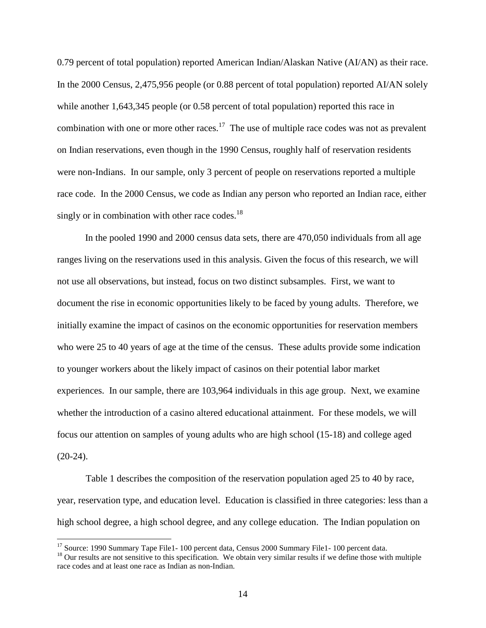0.79 percent of total population) reported American Indian/Alaskan Native (AI/AN) as their race. In the 2000 Census, 2,475,956 people (or 0.88 percent of total population) reported AI/AN solely while another 1,643,345 people (or 0.58 percent of total population) reported this race in combination with one or more other races.<sup>17</sup> The use of multiple race codes was not as prevalent on Indian reservations, even though in the 1990 Census, roughly half of reservation residents were non-Indians. In our sample, only 3 percent of people on reservations reported a multiple race code. In the 2000 Census, we code as Indian any person who reported an Indian race, either singly or in combination with other race codes.<sup>18</sup>

In the pooled 1990 and 2000 census data sets, there are 470,050 individuals from all age ranges living on the reservations used in this analysis. Given the focus of this research, we will not use all observations, but instead, focus on two distinct subsamples. First, we want to document the rise in economic opportunities likely to be faced by young adults. Therefore, we initially examine the impact of casinos on the economic opportunities for reservation members who were 25 to 40 years of age at the time of the census. These adults provide some indication to younger workers about the likely impact of casinos on their potential labor market experiences. In our sample, there are 103,964 individuals in this age group. Next, we examine whether the introduction of a casino altered educational attainment. For these models, we will focus our attention on samples of young adults who are high school (15-18) and college aged  $(20-24)$ .

 Table 1 describes the composition of the reservation population aged 25 to 40 by race, year, reservation type, and education level. Education is classified in three categories: less than a high school degree, a high school degree, and any college education. The Indian population on

 $\overline{a}$ 

<sup>&</sup>lt;sup>17</sup> Source: 1990 Summary Tape File1- 100 percent data, Census 2000 Summary File1- 100 percent data.

 $<sup>18</sup>$  Our results are not sensitive to this specification. We obtain very similar results if we define those with multiple</sup> race codes and at least one race as Indian as non-Indian.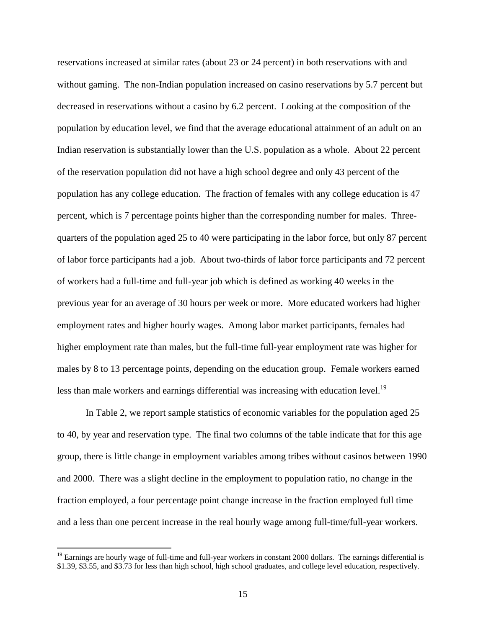reservations increased at similar rates (about 23 or 24 percent) in both reservations with and without gaming. The non-Indian population increased on casino reservations by 5.7 percent but decreased in reservations without a casino by 6.2 percent. Looking at the composition of the population by education level, we find that the average educational attainment of an adult on an Indian reservation is substantially lower than the U.S. population as a whole. About 22 percent of the reservation population did not have a high school degree and only 43 percent of the population has any college education. The fraction of females with any college education is 47 percent, which is 7 percentage points higher than the corresponding number for males. Threequarters of the population aged 25 to 40 were participating in the labor force, but only 87 percent of labor force participants had a job. About two-thirds of labor force participants and 72 percent of workers had a full-time and full-year job which is defined as working 40 weeks in the previous year for an average of 30 hours per week or more. More educated workers had higher employment rates and higher hourly wages. Among labor market participants, females had higher employment rate than males, but the full-time full-year employment rate was higher for males by 8 to 13 percentage points, depending on the education group. Female workers earned less than male workers and earnings differential was increasing with education level.<sup>19</sup>

In Table 2, we report sample statistics of economic variables for the population aged 25 to 40, by year and reservation type. The final two columns of the table indicate that for this age group, there is little change in employment variables among tribes without casinos between 1990 and 2000. There was a slight decline in the employment to population ratio, no change in the fraction employed, a four percentage point change increase in the fraction employed full time and a less than one percent increase in the real hourly wage among full-time/full-year workers.

<u>.</u>

 $19$  Earnings are hourly wage of full-time and full-year workers in constant 2000 dollars. The earnings differential is \$1.39, \$3.55, and \$3.73 for less than high school, high school graduates, and college level education, respectively.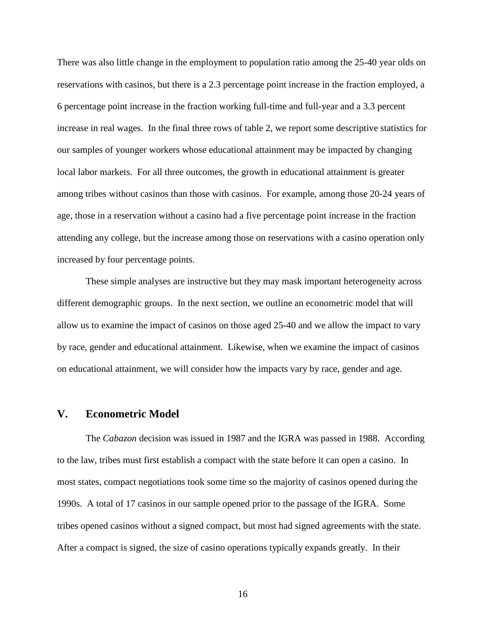There was also little change in the employment to population ratio among the 25-40 year olds on reservations with casinos, but there is a 2.3 percentage point increase in the fraction employed, a 6 percentage point increase in the fraction working full-time and full-year and a 3.3 percent increase in real wages. In the final three rows of table 2, we report some descriptive statistics for our samples of younger workers whose educational attainment may be impacted by changing local labor markets. For all three outcomes, the growth in educational attainment is greater among tribes without casinos than those with casinos. For example, among those 20-24 years of age, those in a reservation without a casino had a five percentage point increase in the fraction attending any college, but the increase among those on reservations with a casino operation only increased by four percentage points.

 These simple analyses are instructive but they may mask important heterogeneity across different demographic groups. In the next section, we outline an econometric model that will allow us to examine the impact of casinos on those aged 25-40 and we allow the impact to vary by race, gender and educational attainment. Likewise, when we examine the impact of casinos on educational attainment, we will consider how the impacts vary by race, gender and age.

#### **V. Econometric Model**

 The *Cabazon* decision was issued in 1987 and the IGRA was passed in 1988. According to the law, tribes must first establish a compact with the state before it can open a casino. In most states, compact negotiations took some time so the majority of casinos opened during the 1990s. A total of 17 casinos in our sample opened prior to the passage of the IGRA. Some tribes opened casinos without a signed compact, but most had signed agreements with the state. After a compact is signed, the size of casino operations typically expands greatly. In their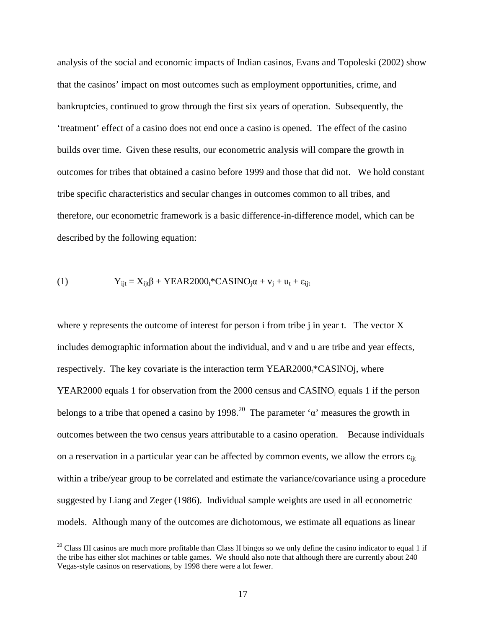analysis of the social and economic impacts of Indian casinos, Evans and Topoleski (2002) show that the casinos' impact on most outcomes such as employment opportunities, crime, and bankruptcies, continued to grow through the first six years of operation. Subsequently, the 'treatment' effect of a casino does not end once a casino is opened. The effect of the casino builds over time. Given these results, our econometric analysis will compare the growth in outcomes for tribes that obtained a casino before 1999 and those that did not. We hold constant tribe specific characteristics and secular changes in outcomes common to all tribes, and therefore, our econometric framework is a basic difference-in-difference model, which can be described by the following equation:

(1) 
$$
Y_{ijt} = X_{ijt}\beta + YEAR2000_t * CASINO_j\alpha + v_j + u_t + \epsilon_{ijt}
$$

 $\overline{a}$ 

where y represents the outcome of interest for person i from tribe j in year t. The vector X includes demographic information about the individual, and v and u are tribe and year effects, respectively. The key covariate is the interaction term  $YEAR2000_t$ \*CASINOj, where YEAR2000 equals 1 for observation from the 2000 census and  $CASINO<sub>j</sub>$  equals 1 if the person belongs to a tribe that opened a casino by 1998.<sup>20</sup> The parameter ' $\alpha$ ' measures the growth in outcomes between the two census years attributable to a casino operation. Because individuals on a reservation in a particular year can be affected by common events, we allow the errors  $\varepsilon_{\text{lit}}$ within a tribe/year group to be correlated and estimate the variance/covariance using a procedure suggested by Liang and Zeger (1986). Individual sample weights are used in all econometric models. Although many of the outcomes are dichotomous, we estimate all equations as linear

<sup>&</sup>lt;sup>20</sup> Class III casinos are much more profitable than Class II bingos so we only define the casino indicator to equal 1 if the tribe has either slot machines or table games. We should also note that although there are currently about 240 Vegas-style casinos on reservations, by 1998 there were a lot fewer.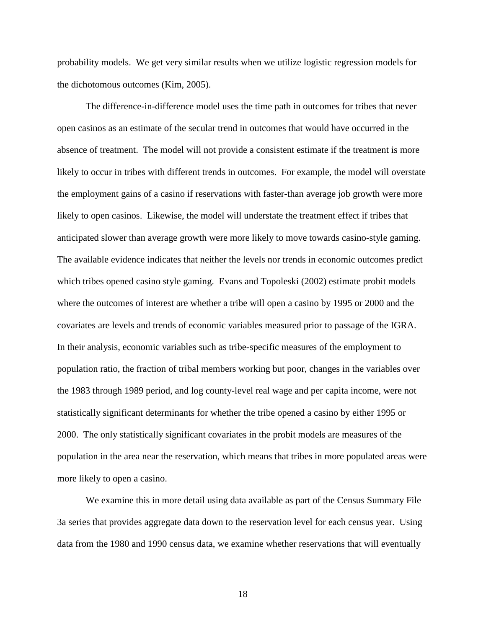probability models. We get very similar results when we utilize logistic regression models for the dichotomous outcomes (Kim, 2005).

 The difference-in-difference model uses the time path in outcomes for tribes that never open casinos as an estimate of the secular trend in outcomes that would have occurred in the absence of treatment. The model will not provide a consistent estimate if the treatment is more likely to occur in tribes with different trends in outcomes. For example, the model will overstate the employment gains of a casino if reservations with faster-than average job growth were more likely to open casinos. Likewise, the model will understate the treatment effect if tribes that anticipated slower than average growth were more likely to move towards casino-style gaming. The available evidence indicates that neither the levels nor trends in economic outcomes predict which tribes opened casino style gaming. Evans and Topoleski (2002) estimate probit models where the outcomes of interest are whether a tribe will open a casino by 1995 or 2000 and the covariates are levels and trends of economic variables measured prior to passage of the IGRA. In their analysis, economic variables such as tribe-specific measures of the employment to population ratio, the fraction of tribal members working but poor, changes in the variables over the 1983 through 1989 period, and log county-level real wage and per capita income, were not statistically significant determinants for whether the tribe opened a casino by either 1995 or 2000. The only statistically significant covariates in the probit models are measures of the population in the area near the reservation, which means that tribes in more populated areas were more likely to open a casino.

 We examine this in more detail using data available as part of the Census Summary File 3a series that provides aggregate data down to the reservation level for each census year. Using data from the 1980 and 1990 census data, we examine whether reservations that will eventually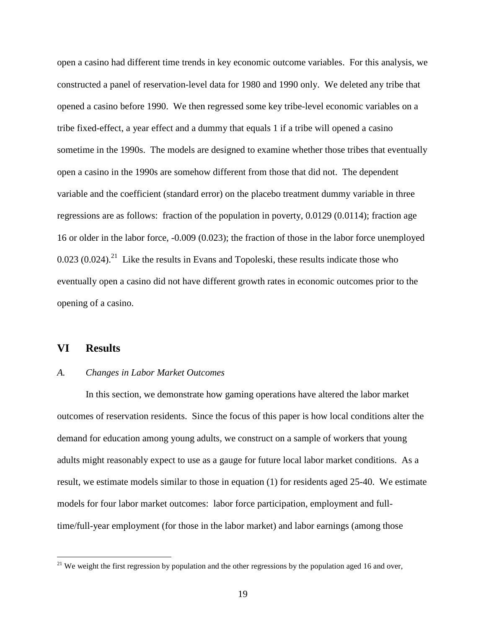open a casino had different time trends in key economic outcome variables. For this analysis, we constructed a panel of reservation-level data for 1980 and 1990 only. We deleted any tribe that opened a casino before 1990. We then regressed some key tribe-level economic variables on a tribe fixed-effect, a year effect and a dummy that equals 1 if a tribe will opened a casino sometime in the 1990s. The models are designed to examine whether those tribes that eventually open a casino in the 1990s are somehow different from those that did not. The dependent variable and the coefficient (standard error) on the placebo treatment dummy variable in three regressions are as follows: fraction of the population in poverty, 0.0129 (0.0114); fraction age 16 or older in the labor force, -0.009 (0.023); the fraction of those in the labor force unemployed  $0.023$  (0.024).<sup>21</sup> Like the results in Evans and Topoleski, these results indicate those who eventually open a casino did not have different growth rates in economic outcomes prior to the opening of a casino.

# **VI Results**

<u>.</u>

#### *A. Changes in Labor Market Outcomes*

 In this section, we demonstrate how gaming operations have altered the labor market outcomes of reservation residents. Since the focus of this paper is how local conditions alter the demand for education among young adults, we construct on a sample of workers that young adults might reasonably expect to use as a gauge for future local labor market conditions. As a result, we estimate models similar to those in equation (1) for residents aged 25-40. We estimate models for four labor market outcomes: labor force participation, employment and fulltime/full-year employment (for those in the labor market) and labor earnings (among those

 $21$  We weight the first regression by population and the other regressions by the population aged 16 and over,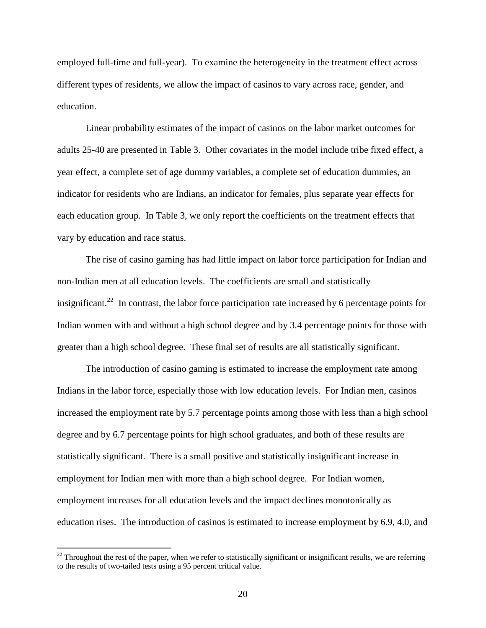employed full-time and full-year). To examine the heterogeneity in the treatment effect across different types of residents, we allow the impact of casinos to vary across race, gender, and education.

 Linear probability estimates of the impact of casinos on the labor market outcomes for adults 25-40 are presented in Table 3. Other covariates in the model include tribe fixed effect, a year effect, a complete set of age dummy variables, a complete set of education dummies, an indicator for residents who are Indians, an indicator for females, plus separate year effects for each education group. In Table 3, we only report the coefficients on the treatment effects that vary by education and race status.

The rise of casino gaming has had little impact on labor force participation for Indian and non-Indian men at all education levels. The coefficients are small and statistically insignificant.<sup>22</sup> In contrast, the labor force participation rate increased by 6 percentage points for Indian women with and without a high school degree and by 3.4 percentage points for those with greater than a high school degree. These final set of results are all statistically significant.

 The introduction of casino gaming is estimated to increase the employment rate among Indians in the labor force, especially those with low education levels. For Indian men, casinos increased the employment rate by 5.7 percentage points among those with less than a high school degree and by 6.7 percentage points for high school graduates, and both of these results are statistically significant. There is a small positive and statistically insignificant increase in employment for Indian men with more than a high school degree. For Indian women, employment increases for all education levels and the impact declines monotonically as education rises. The introduction of casinos is estimated to increase employment by 6.9, 4.0, and

<u>.</u>

 $22$  Throughout the rest of the paper, when we refer to statistically significant or insignificant results, we are referring to the results of two-tailed tests using a 95 percent critical value.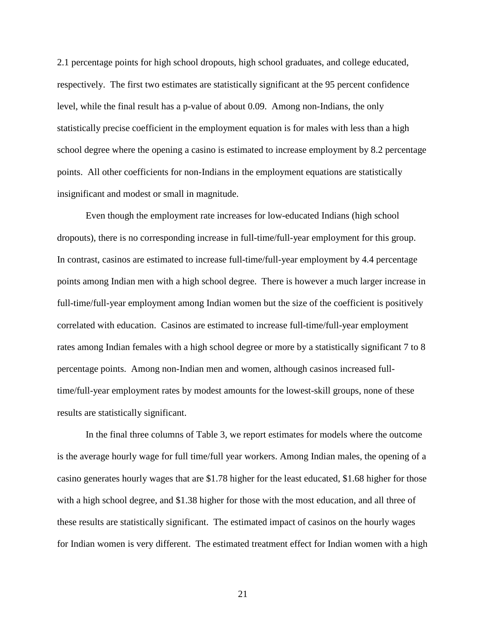2.1 percentage points for high school dropouts, high school graduates, and college educated, respectively. The first two estimates are statistically significant at the 95 percent confidence level, while the final result has a p-value of about 0.09. Among non-Indians, the only statistically precise coefficient in the employment equation is for males with less than a high school degree where the opening a casino is estimated to increase employment by 8.2 percentage points. All other coefficients for non-Indians in the employment equations are statistically insignificant and modest or small in magnitude.

 Even though the employment rate increases for low-educated Indians (high school dropouts), there is no corresponding increase in full-time/full-year employment for this group. In contrast, casinos are estimated to increase full-time/full-year employment by 4.4 percentage points among Indian men with a high school degree. There is however a much larger increase in full-time/full-year employment among Indian women but the size of the coefficient is positively correlated with education. Casinos are estimated to increase full-time/full-year employment rates among Indian females with a high school degree or more by a statistically significant 7 to 8 percentage points. Among non-Indian men and women, although casinos increased fulltime/full-year employment rates by modest amounts for the lowest-skill groups, none of these results are statistically significant.

 In the final three columns of Table 3, we report estimates for models where the outcome is the average hourly wage for full time/full year workers. Among Indian males, the opening of a casino generates hourly wages that are \$1.78 higher for the least educated, \$1.68 higher for those with a high school degree, and \$1.38 higher for those with the most education, and all three of these results are statistically significant. The estimated impact of casinos on the hourly wages for Indian women is very different. The estimated treatment effect for Indian women with a high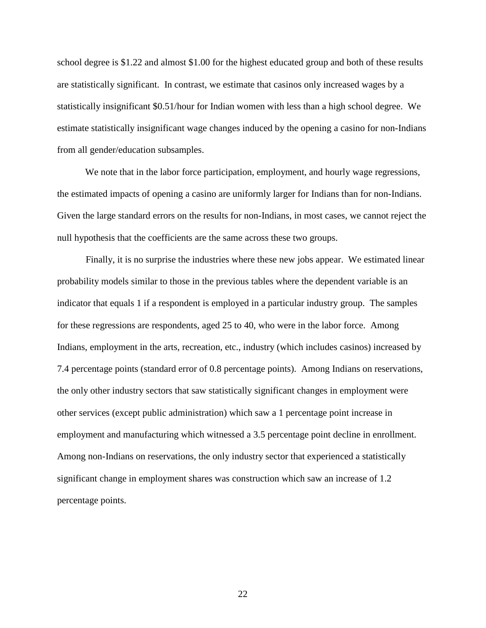school degree is \$1.22 and almost \$1.00 for the highest educated group and both of these results are statistically significant. In contrast, we estimate that casinos only increased wages by a statistically insignificant \$0.51/hour for Indian women with less than a high school degree. We estimate statistically insignificant wage changes induced by the opening a casino for non-Indians from all gender/education subsamples.

We note that in the labor force participation, employment, and hourly wage regressions, the estimated impacts of opening a casino are uniformly larger for Indians than for non-Indians. Given the large standard errors on the results for non-Indians, in most cases, we cannot reject the null hypothesis that the coefficients are the same across these two groups.

 Finally, it is no surprise the industries where these new jobs appear. We estimated linear probability models similar to those in the previous tables where the dependent variable is an indicator that equals 1 if a respondent is employed in a particular industry group. The samples for these regressions are respondents, aged 25 to 40, who were in the labor force. Among Indians, employment in the arts, recreation, etc., industry (which includes casinos) increased by 7.4 percentage points (standard error of 0.8 percentage points). Among Indians on reservations, the only other industry sectors that saw statistically significant changes in employment were other services (except public administration) which saw a 1 percentage point increase in employment and manufacturing which witnessed a 3.5 percentage point decline in enrollment. Among non-Indians on reservations, the only industry sector that experienced a statistically significant change in employment shares was construction which saw an increase of 1.2 percentage points.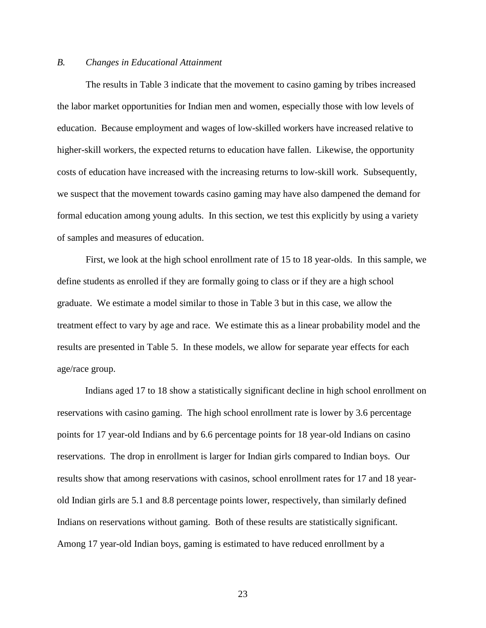#### *B. Changes in Educational Attainment*

 The results in Table 3 indicate that the movement to casino gaming by tribes increased the labor market opportunities for Indian men and women, especially those with low levels of education. Because employment and wages of low-skilled workers have increased relative to higher-skill workers, the expected returns to education have fallen. Likewise, the opportunity costs of education have increased with the increasing returns to low-skill work. Subsequently, we suspect that the movement towards casino gaming may have also dampened the demand for formal education among young adults. In this section, we test this explicitly by using a variety of samples and measures of education.

 First, we look at the high school enrollment rate of 15 to 18 year-olds. In this sample, we define students as enrolled if they are formally going to class or if they are a high school graduate. We estimate a model similar to those in Table 3 but in this case, we allow the treatment effect to vary by age and race. We estimate this as a linear probability model and the results are presented in Table 5. In these models, we allow for separate year effects for each age/race group.

Indians aged 17 to 18 show a statistically significant decline in high school enrollment on reservations with casino gaming. The high school enrollment rate is lower by 3.6 percentage points for 17 year-old Indians and by 6.6 percentage points for 18 year-old Indians on casino reservations. The drop in enrollment is larger for Indian girls compared to Indian boys. Our results show that among reservations with casinos, school enrollment rates for 17 and 18 yearold Indian girls are 5.1 and 8.8 percentage points lower, respectively, than similarly defined Indians on reservations without gaming. Both of these results are statistically significant. Among 17 year-old Indian boys, gaming is estimated to have reduced enrollment by a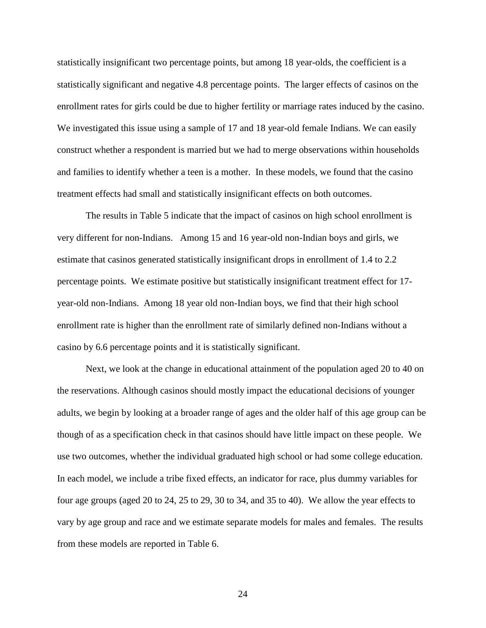statistically insignificant two percentage points, but among 18 year-olds, the coefficient is a statistically significant and negative 4.8 percentage points. The larger effects of casinos on the enrollment rates for girls could be due to higher fertility or marriage rates induced by the casino. We investigated this issue using a sample of 17 and 18 year-old female Indians. We can easily construct whether a respondent is married but we had to merge observations within households and families to identify whether a teen is a mother. In these models, we found that the casino treatment effects had small and statistically insignificant effects on both outcomes.

 The results in Table 5 indicate that the impact of casinos on high school enrollment is very different for non-Indians. Among 15 and 16 year-old non-Indian boys and girls, we estimate that casinos generated statistically insignificant drops in enrollment of 1.4 to 2.2 percentage points. We estimate positive but statistically insignificant treatment effect for 17 year-old non-Indians. Among 18 year old non-Indian boys, we find that their high school enrollment rate is higher than the enrollment rate of similarly defined non-Indians without a casino by 6.6 percentage points and it is statistically significant.

 Next, we look at the change in educational attainment of the population aged 20 to 40 on the reservations. Although casinos should mostly impact the educational decisions of younger adults, we begin by looking at a broader range of ages and the older half of this age group can be though of as a specification check in that casinos should have little impact on these people. We use two outcomes, whether the individual graduated high school or had some college education. In each model, we include a tribe fixed effects, an indicator for race, plus dummy variables for four age groups (aged 20 to 24, 25 to 29, 30 to 34, and 35 to 40). We allow the year effects to vary by age group and race and we estimate separate models for males and females. The results from these models are reported in Table 6.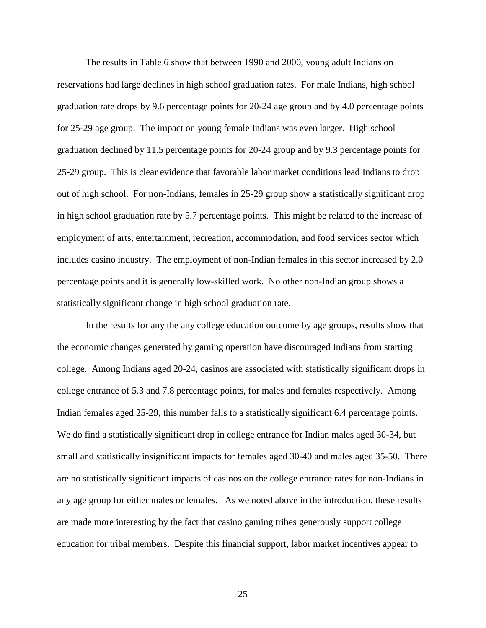The results in Table 6 show that between 1990 and 2000, young adult Indians on reservations had large declines in high school graduation rates. For male Indians, high school graduation rate drops by 9.6 percentage points for 20-24 age group and by 4.0 percentage points for 25-29 age group. The impact on young female Indians was even larger. High school graduation declined by 11.5 percentage points for 20-24 group and by 9.3 percentage points for 25-29 group. This is clear evidence that favorable labor market conditions lead Indians to drop out of high school. For non-Indians, females in 25-29 group show a statistically significant drop in high school graduation rate by 5.7 percentage points. This might be related to the increase of employment of arts, entertainment, recreation, accommodation, and food services sector which includes casino industry. The employment of non-Indian females in this sector increased by 2.0 percentage points and it is generally low-skilled work. No other non-Indian group shows a statistically significant change in high school graduation rate.

 In the results for any the any college education outcome by age groups, results show that the economic changes generated by gaming operation have discouraged Indians from starting college. Among Indians aged 20-24, casinos are associated with statistically significant drops in college entrance of 5.3 and 7.8 percentage points, for males and females respectively. Among Indian females aged 25-29, this number falls to a statistically significant 6.4 percentage points. We do find a statistically significant drop in college entrance for Indian males aged 30-34, but small and statistically insignificant impacts for females aged 30-40 and males aged 35-50. There are no statistically significant impacts of casinos on the college entrance rates for non-Indians in any age group for either males or females. As we noted above in the introduction, these results are made more interesting by the fact that casino gaming tribes generously support college education for tribal members. Despite this financial support, labor market incentives appear to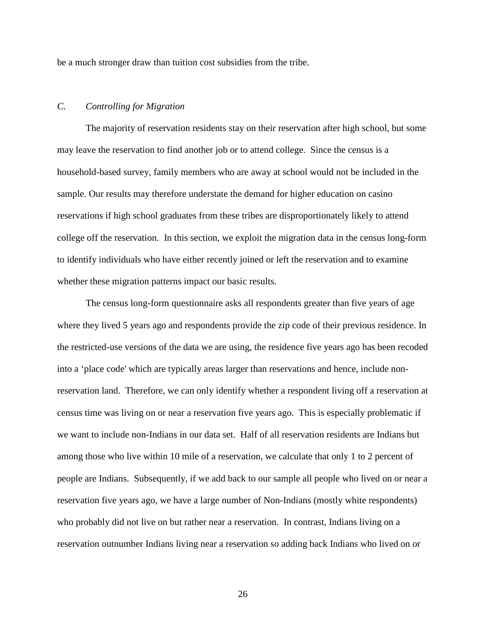be a much stronger draw than tuition cost subsidies from the tribe.

### *C. Controlling for Migration*

 The majority of reservation residents stay on their reservation after high school, but some may leave the reservation to find another job or to attend college. Since the census is a household-based survey, family members who are away at school would not be included in the sample. Our results may therefore understate the demand for higher education on casino reservations if high school graduates from these tribes are disproportionately likely to attend college off the reservation. In this section, we exploit the migration data in the census long-form to identify individuals who have either recently joined or left the reservation and to examine whether these migration patterns impact our basic results.

 The census long-form questionnaire asks all respondents greater than five years of age where they lived 5 years ago and respondents provide the zip code of their previous residence. In the restricted-use versions of the data we are using, the residence five years ago has been recoded into a 'place code' which are typically areas larger than reservations and hence, include nonreservation land. Therefore, we can only identify whether a respondent living off a reservation at census time was living on or near a reservation five years ago. This is especially problematic if we want to include non-Indians in our data set. Half of all reservation residents are Indians but among those who live within 10 mile of a reservation, we calculate that only 1 to 2 percent of people are Indians. Subsequently, if we add back to our sample all people who lived on or near a reservation five years ago, we have a large number of Non-Indians (mostly white respondents) who probably did not live on but rather near a reservation. In contrast, Indians living on a reservation outnumber Indians living near a reservation so adding back Indians who lived on or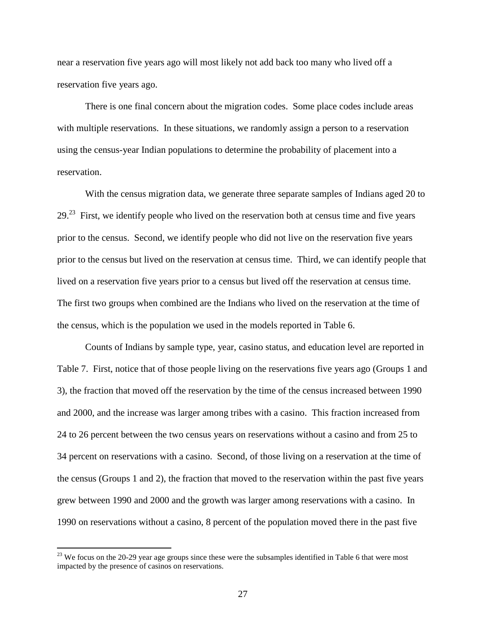near a reservation five years ago will most likely not add back too many who lived off a reservation five years ago.

There is one final concern about the migration codes. Some place codes include areas with multiple reservations. In these situations, we randomly assign a person to a reservation using the census-year Indian populations to determine the probability of placement into a reservation.

With the census migration data, we generate three separate samples of Indians aged 20 to  $29<sup>23</sup>$  First, we identify people who lived on the reservation both at census time and five years prior to the census. Second, we identify people who did not live on the reservation five years prior to the census but lived on the reservation at census time. Third, we can identify people that lived on a reservation five years prior to a census but lived off the reservation at census time. The first two groups when combined are the Indians who lived on the reservation at the time of the census, which is the population we used in the models reported in Table 6.

Counts of Indians by sample type, year, casino status, and education level are reported in Table 7. First, notice that of those people living on the reservations five years ago (Groups 1 and 3), the fraction that moved off the reservation by the time of the census increased between 1990 and 2000, and the increase was larger among tribes with a casino. This fraction increased from 24 to 26 percent between the two census years on reservations without a casino and from 25 to 34 percent on reservations with a casino. Second, of those living on a reservation at the time of the census (Groups 1 and 2), the fraction that moved to the reservation within the past five years grew between 1990 and 2000 and the growth was larger among reservations with a casino. In 1990 on reservations without a casino, 8 percent of the population moved there in the past five

 $\overline{a}$ 

 $^{23}$  We focus on the 20-29 year age groups since these were the subsamples identified in Table 6 that were most impacted by the presence of casinos on reservations.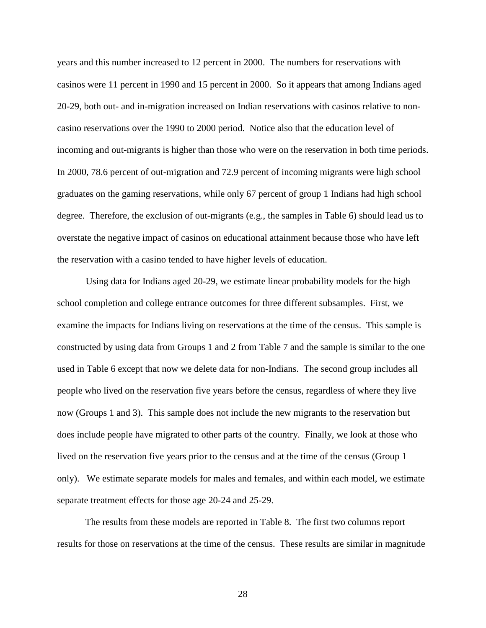years and this number increased to 12 percent in 2000. The numbers for reservations with casinos were 11 percent in 1990 and 15 percent in 2000. So it appears that among Indians aged 20-29, both out- and in-migration increased on Indian reservations with casinos relative to noncasino reservations over the 1990 to 2000 period. Notice also that the education level of incoming and out-migrants is higher than those who were on the reservation in both time periods. In 2000, 78.6 percent of out-migration and 72.9 percent of incoming migrants were high school graduates on the gaming reservations, while only 67 percent of group 1 Indians had high school degree. Therefore, the exclusion of out-migrants (e.g., the samples in Table 6) should lead us to overstate the negative impact of casinos on educational attainment because those who have left the reservation with a casino tended to have higher levels of education.

 Using data for Indians aged 20-29, we estimate linear probability models for the high school completion and college entrance outcomes for three different subsamples. First, we examine the impacts for Indians living on reservations at the time of the census. This sample is constructed by using data from Groups 1 and 2 from Table 7 and the sample is similar to the one used in Table 6 except that now we delete data for non-Indians. The second group includes all people who lived on the reservation five years before the census, regardless of where they live now (Groups 1 and 3). This sample does not include the new migrants to the reservation but does include people have migrated to other parts of the country. Finally, we look at those who lived on the reservation five years prior to the census and at the time of the census (Group 1 only). We estimate separate models for males and females, and within each model, we estimate separate treatment effects for those age 20-24 and 25-29.

The results from these models are reported in Table 8. The first two columns report results for those on reservations at the time of the census. These results are similar in magnitude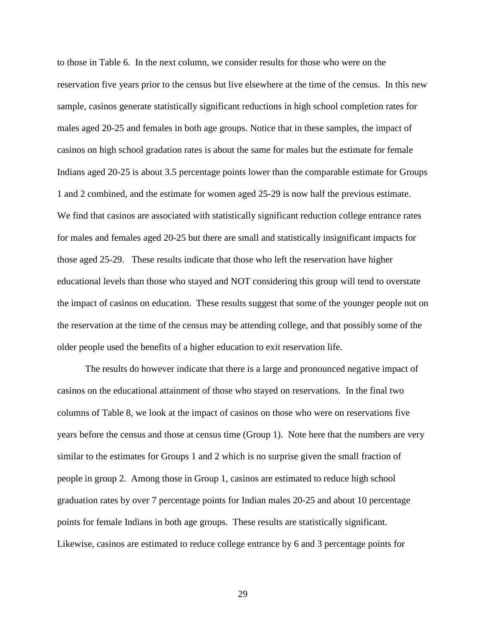to those in Table 6. In the next column, we consider results for those who were on the reservation five years prior to the census but live elsewhere at the time of the census. In this new sample, casinos generate statistically significant reductions in high school completion rates for males aged 20-25 and females in both age groups. Notice that in these samples, the impact of casinos on high school gradation rates is about the same for males but the estimate for female Indians aged 20-25 is about 3.5 percentage points lower than the comparable estimate for Groups 1 and 2 combined, and the estimate for women aged 25-29 is now half the previous estimate. We find that casinos are associated with statistically significant reduction college entrance rates for males and females aged 20-25 but there are small and statistically insignificant impacts for those aged 25-29. These results indicate that those who left the reservation have higher educational levels than those who stayed and NOT considering this group will tend to overstate the impact of casinos on education. These results suggest that some of the younger people not on the reservation at the time of the census may be attending college, and that possibly some of the older people used the benefits of a higher education to exit reservation life.

The results do however indicate that there is a large and pronounced negative impact of casinos on the educational attainment of those who stayed on reservations. In the final two columns of Table 8, we look at the impact of casinos on those who were on reservations five years before the census and those at census time (Group 1). Note here that the numbers are very similar to the estimates for Groups 1 and 2 which is no surprise given the small fraction of people in group 2. Among those in Group 1, casinos are estimated to reduce high school graduation rates by over 7 percentage points for Indian males 20-25 and about 10 percentage points for female Indians in both age groups. These results are statistically significant. Likewise, casinos are estimated to reduce college entrance by 6 and 3 percentage points for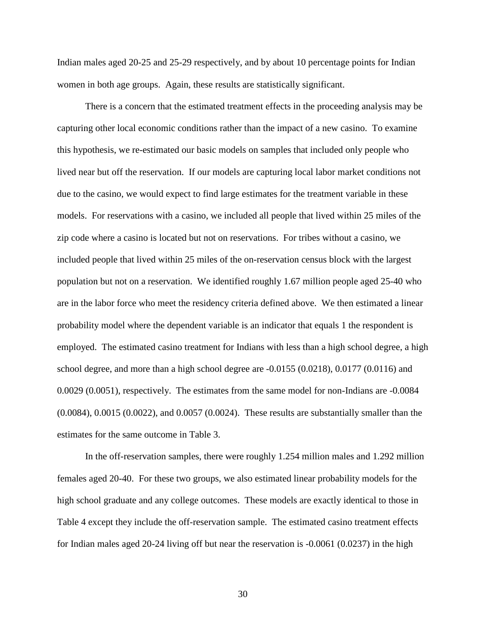Indian males aged 20-25 and 25-29 respectively, and by about 10 percentage points for Indian women in both age groups. Again, these results are statistically significant.

There is a concern that the estimated treatment effects in the proceeding analysis may be capturing other local economic conditions rather than the impact of a new casino. To examine this hypothesis, we re-estimated our basic models on samples that included only people who lived near but off the reservation. If our models are capturing local labor market conditions not due to the casino, we would expect to find large estimates for the treatment variable in these models. For reservations with a casino, we included all people that lived within 25 miles of the zip code where a casino is located but not on reservations. For tribes without a casino, we included people that lived within 25 miles of the on-reservation census block with the largest population but not on a reservation. We identified roughly 1.67 million people aged 25-40 who are in the labor force who meet the residency criteria defined above. We then estimated a linear probability model where the dependent variable is an indicator that equals 1 the respondent is employed. The estimated casino treatment for Indians with less than a high school degree, a high school degree, and more than a high school degree are -0.0155 (0.0218), 0.0177 (0.0116) and 0.0029 (0.0051), respectively. The estimates from the same model for non-Indians are -0.0084 (0.0084), 0.0015 (0.0022), and 0.0057 (0.0024). These results are substantially smaller than the estimates for the same outcome in Table 3.

In the off-reservation samples, there were roughly 1.254 million males and 1.292 million females aged 20-40. For these two groups, we also estimated linear probability models for the high school graduate and any college outcomes. These models are exactly identical to those in Table 4 except they include the off-reservation sample. The estimated casino treatment effects for Indian males aged 20-24 living off but near the reservation is -0.0061 (0.0237) in the high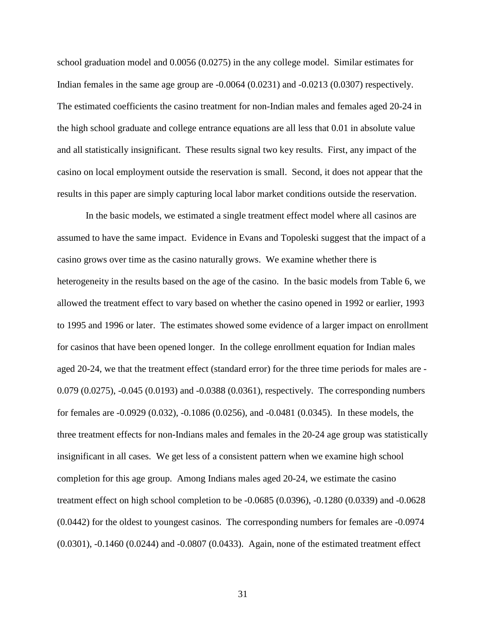school graduation model and 0.0056 (0.0275) in the any college model. Similar estimates for Indian females in the same age group are -0.0064 (0.0231) and -0.0213 (0.0307) respectively. The estimated coefficients the casino treatment for non-Indian males and females aged 20-24 in the high school graduate and college entrance equations are all less that 0.01 in absolute value and all statistically insignificant. These results signal two key results. First, any impact of the casino on local employment outside the reservation is small. Second, it does not appear that the results in this paper are simply capturing local labor market conditions outside the reservation.

In the basic models, we estimated a single treatment effect model where all casinos are assumed to have the same impact. Evidence in Evans and Topoleski suggest that the impact of a casino grows over time as the casino naturally grows. We examine whether there is heterogeneity in the results based on the age of the casino. In the basic models from Table 6, we allowed the treatment effect to vary based on whether the casino opened in 1992 or earlier, 1993 to 1995 and 1996 or later. The estimates showed some evidence of a larger impact on enrollment for casinos that have been opened longer. In the college enrollment equation for Indian males aged 20-24, we that the treatment effect (standard error) for the three time periods for males are - 0.079 (0.0275), -0.045 (0.0193) and -0.0388 (0.0361), respectively. The corresponding numbers for females are -0.0929 (0.032), -0.1086 (0.0256), and -0.0481 (0.0345). In these models, the three treatment effects for non-Indians males and females in the 20-24 age group was statistically insignificant in all cases. We get less of a consistent pattern when we examine high school completion for this age group. Among Indians males aged 20-24, we estimate the casino treatment effect on high school completion to be -0.0685 (0.0396), -0.1280 (0.0339) and -0.0628 (0.0442) for the oldest to youngest casinos. The corresponding numbers for females are -0.0974 (0.0301), -0.1460 (0.0244) and -0.0807 (0.0433). Again, none of the estimated treatment effect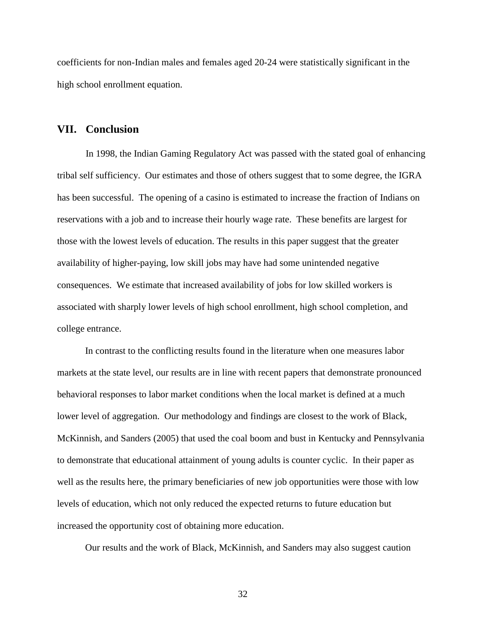coefficients for non-Indian males and females aged 20-24 were statistically significant in the high school enrollment equation.

#### **VII. Conclusion**

 In 1998, the Indian Gaming Regulatory Act was passed with the stated goal of enhancing tribal self sufficiency. Our estimates and those of others suggest that to some degree, the IGRA has been successful. The opening of a casino is estimated to increase the fraction of Indians on reservations with a job and to increase their hourly wage rate. These benefits are largest for those with the lowest levels of education. The results in this paper suggest that the greater availability of higher-paying, low skill jobs may have had some unintended negative consequences. We estimate that increased availability of jobs for low skilled workers is associated with sharply lower levels of high school enrollment, high school completion, and college entrance.

In contrast to the conflicting results found in the literature when one measures labor markets at the state level, our results are in line with recent papers that demonstrate pronounced behavioral responses to labor market conditions when the local market is defined at a much lower level of aggregation. Our methodology and findings are closest to the work of Black, McKinnish, and Sanders (2005) that used the coal boom and bust in Kentucky and Pennsylvania to demonstrate that educational attainment of young adults is counter cyclic. In their paper as well as the results here, the primary beneficiaries of new job opportunities were those with low levels of education, which not only reduced the expected returns to future education but increased the opportunity cost of obtaining more education.

Our results and the work of Black, McKinnish, and Sanders may also suggest caution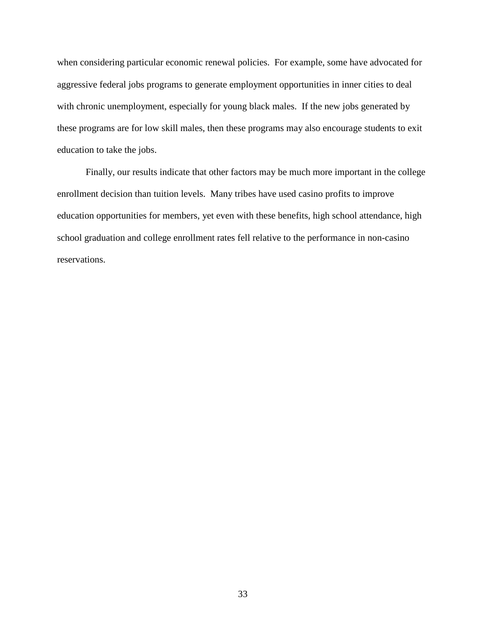when considering particular economic renewal policies. For example, some have advocated for aggressive federal jobs programs to generate employment opportunities in inner cities to deal with chronic unemployment, especially for young black males. If the new jobs generated by these programs are for low skill males, then these programs may also encourage students to exit education to take the jobs.

 Finally, our results indicate that other factors may be much more important in the college enrollment decision than tuition levels. Many tribes have used casino profits to improve education opportunities for members, yet even with these benefits, high school attendance, high school graduation and college enrollment rates fell relative to the performance in non-casino reservations.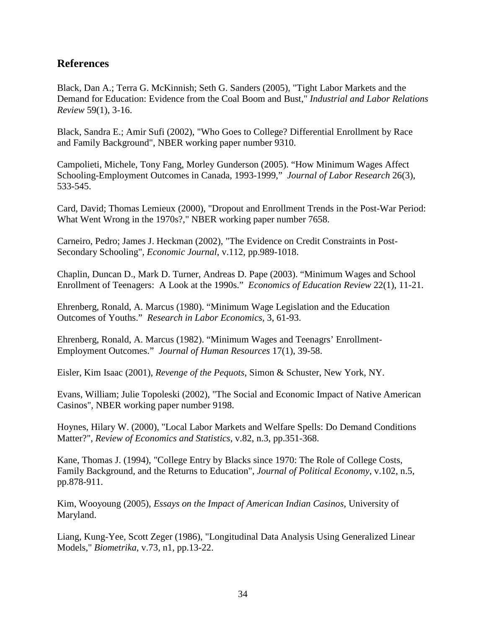# **References**

Black, Dan A.; Terra G. McKinnish; Seth G. Sanders (2005), "Tight Labor Markets and the Demand for Education: Evidence from the Coal Boom and Bust," *Industrial and Labor Relations Review* 59(1), 3-16.

Black, Sandra E.; Amir Sufi (2002), "Who Goes to College? Differential Enrollment by Race and Family Background", NBER working paper number 9310.

Campolieti, Michele, Tony Fang, Morley Gunderson (2005). "How Minimum Wages Affect Schooling-Employment Outcomes in Canada, 1993-1999," *Journal of Labor Research* 26(3), 533-545.

Card, David; Thomas Lemieux (2000), "Dropout and Enrollment Trends in the Post-War Period: What Went Wrong in the 1970s?," NBER working paper number 7658.

Carneiro, Pedro; James J. Heckman (2002), "The Evidence on Credit Constraints in Post-Secondary Schooling", *Economic Journal*, v.112, pp.989-1018.

Chaplin, Duncan D., Mark D. Turner, Andreas D. Pape (2003). "Minimum Wages and School Enrollment of Teenagers: A Look at the 1990s." *Economics of Education Review* 22(1), 11-21.

Ehrenberg, Ronald, A. Marcus (1980). "Minimum Wage Legislation and the Education Outcomes of Youths." *Research in Labor Economics,* 3, 61-93.

Ehrenberg, Ronald, A. Marcus (1982). "Minimum Wages and Teenagrs' Enrollment-Employment Outcomes." *Journal of Human Resources* 17(1), 39-58.

Eisler, Kim Isaac (2001), *Revenge of the Pequots*, Simon & Schuster, New York, NY.

Evans, William; Julie Topoleski (2002), "The Social and Economic Impact of Native American Casinos", NBER working paper number 9198.

Hoynes, Hilary W. (2000), "Local Labor Markets and Welfare Spells: Do Demand Conditions Matter?", *Review of Economics and Statistics*, v.82, n.3, pp.351-368.

Kane, Thomas J. (1994), "College Entry by Blacks since 1970: The Role of College Costs, Family Background, and the Returns to Education", *Journal of Political Economy*, v.102, n.5, pp.878-911.

Kim, Wooyoung (2005), *Essays on the Impact of American Indian Casinos*, University of Maryland.

Liang, Kung-Yee, Scott Zeger (1986), "Longitudinal Data Analysis Using Generalized Linear Models," *Biometrika*, v.73, n1, pp.13-22.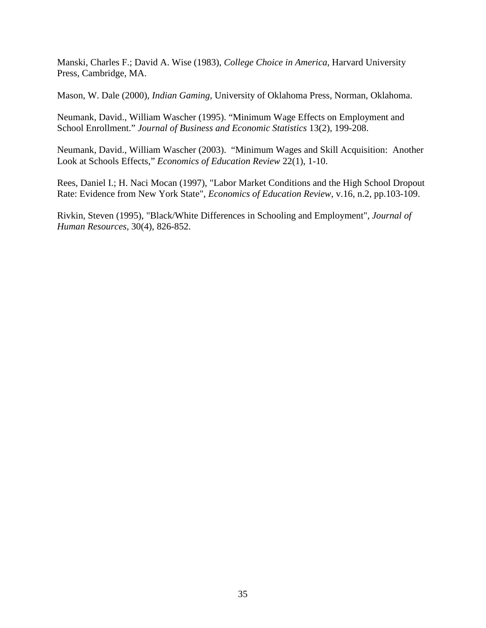Manski, Charles F.; David A. Wise (1983), *College Choice in America*, Harvard University Press, Cambridge, MA.

Mason, W. Dale (2000), *Indian Gaming*, University of Oklahoma Press, Norman, Oklahoma.

Neumank, David., William Wascher (1995). "Minimum Wage Effects on Employment and School Enrollment." *Journal of Business and Economic Statistics* 13(2), 199-208.

Neumank, David., William Wascher (2003). "Minimum Wages and Skill Acquisition: Another Look at Schools Effects," *Economics of Education Review* 22(1), 1-10.

Rees, Daniel I.; H. Naci Mocan (1997), "Labor Market Conditions and the High School Dropout Rate: Evidence from New York State", *Economics of Education Review*, v.16, n.2, pp.103-109.

Rivkin, Steven (1995), "Black/White Differences in Schooling and Employment", *Journal of Human Resources*, 30(4), 826-852.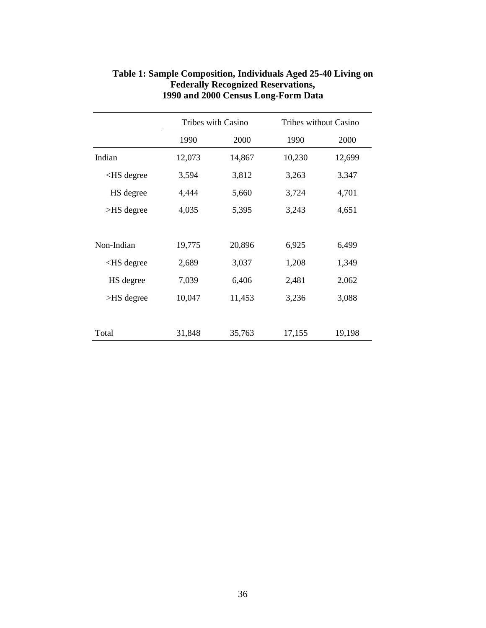|                                                                                    |        | <b>Tribes with Casino</b> | Tribes without Casino |        |
|------------------------------------------------------------------------------------|--------|---------------------------|-----------------------|--------|
|                                                                                    | 1990   | 2000                      | 1990                  | 2000   |
| Indian                                                                             | 12,073 | 14,867                    | 10,230                | 12,699 |
| <hs degree<="" td=""><td>3,594</td><td>3,812</td><td>3,263</td><td>3,347</td></hs> | 3,594  | 3,812                     | 3,263                 | 3,347  |
| HS degree                                                                          | 4,444  | 5,660                     | 3,724                 | 4,701  |
| $>$ HS degree                                                                      | 4,035  | 5,395                     | 3,243                 | 4,651  |
|                                                                                    |        |                           |                       |        |
| Non-Indian                                                                         | 19,775 | 20,896                    | 6,925                 | 6,499  |
| $<$ HS degree                                                                      | 2,689  | 3,037                     | 1,208                 | 1,349  |
| HS degree                                                                          | 7,039  | 6,406                     | 2,481                 | 2,062  |
| $>$ HS degree                                                                      | 10,047 | 11,453                    | 3,236                 | 3,088  |
|                                                                                    |        |                           |                       |        |
| Total                                                                              | 31,848 | 35,763                    | 17,155                | 19,198 |

### **Table 1: Sample Composition, Individuals Aged 25-40 Living on Federally Recognized Reservations, 1990 and 2000 Census Long-Form Data**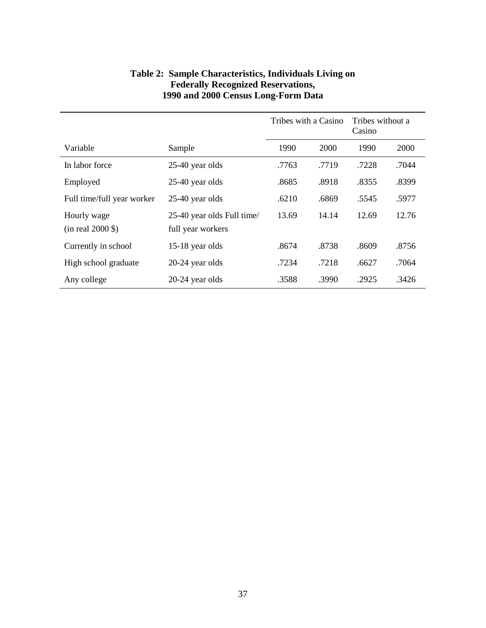|                                      |                                                 | Tribes with a Casino |       | Tribes without a<br>Casino |       |
|--------------------------------------|-------------------------------------------------|----------------------|-------|----------------------------|-------|
| Variable                             | Sample                                          | 1990                 | 2000  | 1990                       | 2000  |
| In labor force                       | 25-40 year olds                                 | .7763                | .7719 | .7228                      | .7044 |
| Employed                             | 25-40 year olds                                 | .8685                | .8918 | .8355                      | .8399 |
| Full time/full year worker           | 25-40 year olds                                 | .6210                | .6869 | .5545                      | .5977 |
| Hourly wage<br>$(in$ real $2000$ \$) | 25-40 year olds Full time/<br>full year workers | 13.69                | 14.14 | 12.69                      | 12.76 |
| Currently in school                  | 15-18 year olds                                 | .8674                | .8738 | .8609                      | .8756 |
| High school graduate                 | 20-24 year olds                                 | .7234                | .7218 | .6627                      | .7064 |
| Any college                          | 20-24 year olds                                 | .3588                | .3990 | .2925                      | .3426 |

### **Table 2: Sample Characteristics, Individuals Living on Federally Recognized Reservations, 1990 and 2000 Census Long-Form Data**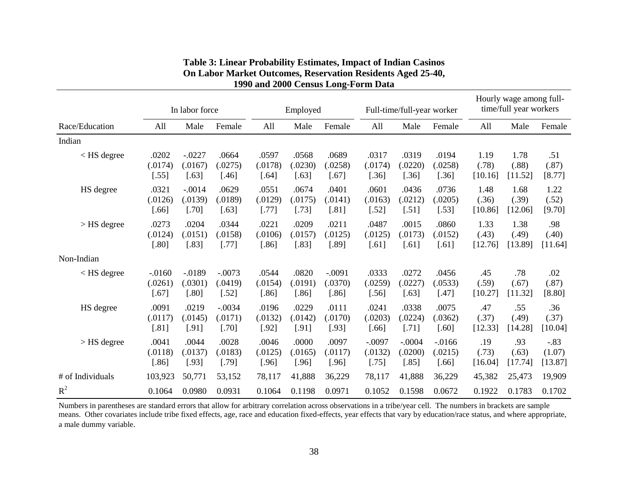|                                                                                                                                                                                                                                                       |          | In labor force |          |         | Employed |          |          | Full-time/full-year worker |           |         | Hourly wage among full-<br>time/full year workers |          |
|-------------------------------------------------------------------------------------------------------------------------------------------------------------------------------------------------------------------------------------------------------|----------|----------------|----------|---------|----------|----------|----------|----------------------------|-----------|---------|---------------------------------------------------|----------|
| Race/Education                                                                                                                                                                                                                                        | All      | Male           | Female   | All     | Male     | Female   | All      | Male                       | Female    | All     | Male                                              | Female   |
| Indian                                                                                                                                                                                                                                                |          |                |          |         |          |          |          |                            |           |         |                                                   |          |
| <hs degree<="" td=""><td>.0202</td><td><math>-.0227</math></td><td>.0664</td><td>.0597</td><td>.0568</td><td>.0689</td><td>.0317</td><td>.0319</td><td>.0194</td><td>1.19</td><td>1.78</td><td>.51</td></hs>                                          | .0202    | $-.0227$       | .0664    | .0597   | .0568    | .0689    | .0317    | .0319                      | .0194     | 1.19    | 1.78                                              | .51      |
|                                                                                                                                                                                                                                                       | (.0174)  | (.0167)        | (.0275)  | (.0178) | (.0230)  | (.0258)  | (.0174)  | (.0220)                    | (.0258)   | (.78)   | (.88)                                             | (.87)    |
|                                                                                                                                                                                                                                                       | $[.55]$  | $[.63]$        | $[.46]$  | $[.64]$ | $[.63]$  | $[.67]$  | $[.36]$  | $[.36]$                    | $[.36]$   | [10.16] | [11.52]                                           | [8.77]   |
| HS degree                                                                                                                                                                                                                                             | .0321    | $-.0014$       | .0629    | .0551   | .0674    | .0401    | .0601    | .0436                      | .0736     | 1.48    | 1.68                                              | 1.22     |
|                                                                                                                                                                                                                                                       | (.0126)  | (.0139)        | (.0189)  | (.0129) | (.0175)  | .0141)   | (.0163)  | (.0212)                    | (.0205)   | (.36)   | (.39)                                             | (.52)    |
|                                                                                                                                                                                                                                                       | $[.66]$  | $[.70]$        | $[.63]$  | $[.77]$ | $[.73]$  | $[.81]$  | $[.52]$  | $[.51]$                    | $[.53]$   | [10.86] | [12.06]                                           | [9.70]   |
| > HS degree                                                                                                                                                                                                                                           | .0273    | .0204          | .0344    | .0221   | .0209    | .0211    | .0487    | .0015                      | .0860     | 1.33    | 1.38                                              | .98      |
|                                                                                                                                                                                                                                                       | (.0124)  | (.0151)        | (.0158)  | (.0106) | (.0157)  | (.0125)  | (.0125)  | (.0173)                    | (.0152)   | (.43)   | (.49)                                             | (.40)    |
|                                                                                                                                                                                                                                                       | $[.80]$  | $[.83]$        | $[.77]$  | $[.86]$ | $[.83]$  | $[.89]$  | $[.61]$  | $[.61]$                    | $[.61]$   | [12.76] | [13.89]                                           | [11.64]  |
| Non-Indian                                                                                                                                                                                                                                            |          |                |          |         |          |          |          |                            |           |         |                                                   |          |
| <hs degree<="" td=""><td><math>-.0160</math></td><td><math>-0.0189</math></td><td><math>-.0073</math></td><td>.0544</td><td>.0820</td><td><math>-.0091</math></td><td>.0333</td><td>.0272</td><td>.0456</td><td>.45</td><td>.78</td><td>.02</td></hs> | $-.0160$ | $-0.0189$      | $-.0073$ | .0544   | .0820    | $-.0091$ | .0333    | .0272                      | .0456     | .45     | .78                                               | .02      |
|                                                                                                                                                                                                                                                       | (.0261)  | (.0301)        | (.0419)  | (.0154) | (.0191)  | (.0370)  | (.0259)  | (.0227)                    | (.0533)   | (.59)   | (.67)                                             | (.87)    |
|                                                                                                                                                                                                                                                       | $[.67]$  | $[.80]$        | $[.52]$  | $[.86]$ | $[.86]$  | $[.86]$  | $[.56]$  | $[.63]$                    | $[.47]$   | [10.27] | [11.32]                                           | $[8.80]$ |
| HS degree                                                                                                                                                                                                                                             | .0091    | .0219          | $-.0034$ | .0196   | .0229    | .0111    | .0241    | .0338                      | .0075     | .47     | .55                                               | .36      |
|                                                                                                                                                                                                                                                       | (.0117)  | (.0145)        | (.0171)  | (.0132) | (.0142)  | (.0170)  | (.0203)  | (.0224)                    | (.0362)   | (.37)   | (.49)                                             | (.37)    |
|                                                                                                                                                                                                                                                       | $[.81]$  | $[.91]$        | $[.70]$  | $[.92]$ | $[.91]$  | [.93]    | $[.66]$  | $[.71]$                    | $[.60]$   | [12.33] | [14.28]                                           | [10.04]  |
| > HS degree                                                                                                                                                                                                                                           | .0041    | .0044          | .0028    | .0046   | .0000    | .0097    | $-.0097$ | $-.0004$                   | $-0.0166$ | .19     | .93                                               | $-.83$   |
|                                                                                                                                                                                                                                                       | (.0118)  | (.0137)        | (.0183)  | (.0125) | (.0165)  | (.0117)  | (.0132)  | (.0200)                    | (.0215)   | (.73)   | (.63)                                             | (1.07)   |
|                                                                                                                                                                                                                                                       | $[.86]$  | $[.93]$        | $[.79]$  | $[.96]$ | $[.96]$  | $[.96]$  | $[.75]$  | $[.85]$                    | $[.66]$   | [16.04] | [17.74]                                           | [13.87]  |
| # of Individuals                                                                                                                                                                                                                                      | 103,923  | 50,771         | 53,152   | 78,117  | 41,888   | 36,229   | 78,117   | 41,888                     | 36,229    | 45,382  | 25,473                                            | 19,909   |
| $R^2$                                                                                                                                                                                                                                                 | 0.1064   | 0.0980         | 0.0931   | 0.1064  | 0.1198   | 0.0971   | 0.1052   | 0.1598                     | 0.0672    | 0.1922  | 0.1783                                            | 0.1702   |

# **Table 3: Linear Probability Estimates, Impact of Indian Casinos On Labor Market Outcomes, Reservation Residents Aged 25-40, 1990 and 2000 Census Long-Form Data**

Numbers in parentheses are standard errors that allow for arbitrary correlation across observations in a tribe/year cell. The numbers in brackets are sample means. Other covariates include tribe fixed effects, age, race and education fixed-effects, year effects that vary by education/race status, and where appropriate, a male dummy variable.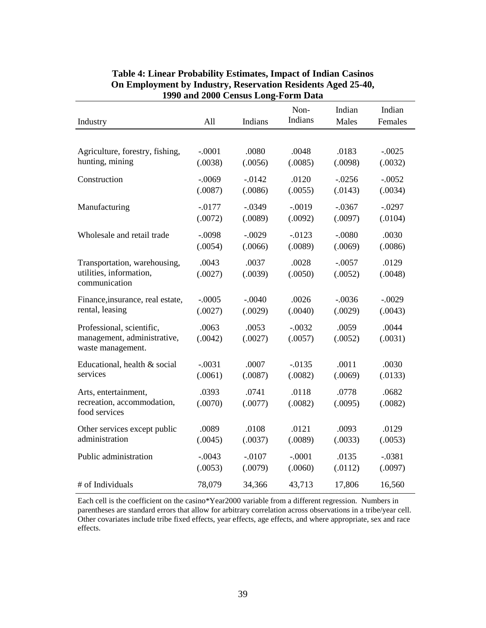| Industry                                                                      | All              | Indians          | Non-<br>Indians     | Indian<br>Males     | Indian<br>Females |
|-------------------------------------------------------------------------------|------------------|------------------|---------------------|---------------------|-------------------|
|                                                                               |                  |                  |                     |                     |                   |
| Agriculture, forestry, fishing,                                               | $-.0001$         | .0080            | .0048               | .0183               | $-.0025$          |
| hunting, mining                                                               | (.0038)          | (.0056)          | (.0085)             | (.0098)             | (.0032)           |
| Construction                                                                  | $-.0069$         | $-0.0142$        | .0120               | $-0.0256$           | $-.0052$          |
|                                                                               | (.0087)          | (.0086)          | (.0055)             | (.0143)             | (.0034)           |
| Manufacturing                                                                 | $-0.0177$        | $-.0349$         | $-.0019$            | $-.0367$            | $-.0297$          |
|                                                                               | (.0072)          | (.0089)          | (.0092)             | (.0097)             | (.0104)           |
| Wholesale and retail trade                                                    | $-.0098$         | $-.0029$         | $-0.0123$           | $-.0080$            | .0030             |
|                                                                               | (.0054)          | (.0066)          | (.0089)             | (.0069)             | (.0086)           |
| Transportation, warehousing,<br>utilities, information,<br>communication      | .0043<br>(.0027) | .0037<br>(.0039) | .0028<br>(.0050)    | $-.0057$<br>(.0052) | .0129<br>(.0048)  |
| Finance, insurance, real estate,                                              | $-.0005$         | $-.0040$         | .0026               | $-.0036$            | $-.0029$          |
| rental, leasing                                                               | (.0027)          | (.0029)          | (.0040)             | (.0029)             | (.0043)           |
| Professional, scientific,<br>management, administrative,<br>waste management. | .0063<br>(.0042) | .0053<br>(.0027) | $-.0032$<br>(.0057) | .0059<br>(.0052)    | .0044<br>(.0031)  |
| Educational, health & social                                                  | $-.0031$         | .0007            | $-0.0135$           | .0011               | .0030             |
| services                                                                      | (.0061)          | (.0087)          | (.0082)             | (.0069)             | (.0133)           |
| Arts, entertainment,<br>recreation, accommodation,<br>food services           | .0393<br>(.0070) | .0741<br>(.0077) | .0118<br>(.0082)    | .0778<br>(.0095)    | .0682<br>(.0082)  |
| Other services except public                                                  | .0089            | .0108            | .0121               | .0093               | .0129             |
| administration                                                                | (.0045)          | (.0037)          | (.0089)             | (.0033)             | (.0053)           |
| Public administration                                                         | $-.0043$         | $-.0107$         | $-.0001$            | .0135               | $-.0381$          |
|                                                                               | (.0053)          | (.0079)          | (.0060)             | (.0112)             | (.0097)           |
| # of Individuals                                                              | 78,079           | 34,366           | 43,713              | 17,806              | 16,560            |

#### **Table 4: Linear Probability Estimates, Impact of Indian Casinos On Employment by Industry, Reservation Residents Aged 25-40, 1990 and 2000 Census Long-Form Data**

Each cell is the coefficient on the casino\*Year2000 variable from a different regression. Numbers in parentheses are standard errors that allow for arbitrary correlation across observations in a tribe/year cell. Other covariates include tribe fixed effects, year effects, age effects, and where appropriate, sex and race effects.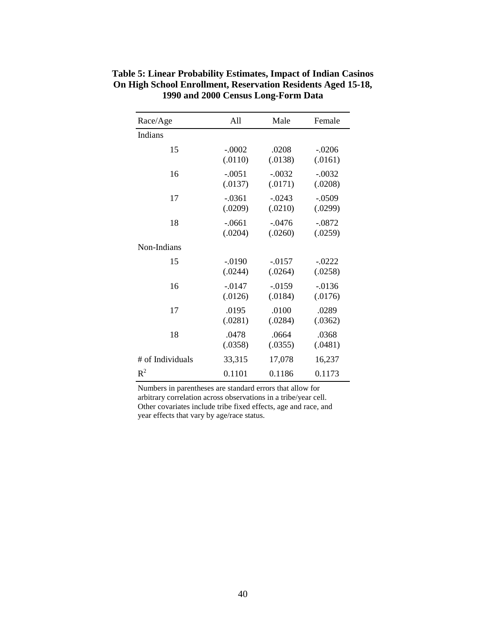| Race/Age         | All       | Male      | Female    |
|------------------|-----------|-----------|-----------|
| Indians          |           |           |           |
| 15               | $-.0002$  | .0208     | $-.0206$  |
|                  | (.0110)   | (.0138)   | (.0161)   |
| 16               | $-.0051$  | $-.0032$  | $-.0032$  |
|                  | (.0137)   | (.0171)   | (.0208)   |
| 17               | $-.0361$  | $-.0243$  | $-.0509$  |
|                  | (.0209)   | (.0210)   | (.0299)   |
| 18               | $-.0661$  | $-.0476$  | $-.0872$  |
|                  | (.0204)   | (.0260)   | (.0259)   |
| Non-Indians      |           |           |           |
| 15               | $-0.0190$ | $-0.0157$ | $-.0222$  |
|                  | (.0244)   | (.0264)   | (.0258)   |
| 16               | $-0.0147$ | $-0.0159$ | $-0.0136$ |
|                  | (.0126)   | (.0184)   | (.0176)   |
| 17               | .0195     | .0100     | .0289     |
|                  | (.0281)   | (.0284)   | (.0362)   |
| 18               | .0478     | .0664     | .0368     |
|                  | (.0358)   | (.0355)   | (.0481)   |
| # of Individuals | 33,315    | 17,078    | 16,237    |
| $R^2$            | 0.1101    | 0.1186    | 0.1173    |

**Table 5: Linear Probability Estimates, Impact of Indian Casinos On High School Enrollment, Reservation Residents Aged 15-18, 1990 and 2000 Census Long-Form Data** 

Numbers in parentheses are standard errors that allow for arbitrary correlation across observations in a tribe/year cell. Other covariates include tribe fixed effects, age and race, and year effects that vary by age/race status.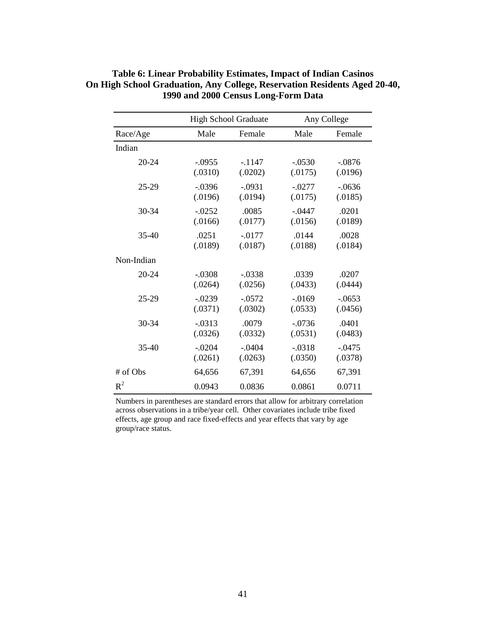|            |           | High School Graduate |           | Any College |
|------------|-----------|----------------------|-----------|-------------|
| Race/Age   | Male      | Female               | Male      | Female      |
| Indian     |           |                      |           |             |
| $20 - 24$  | $-.0955$  | $-.1147$             | $-.0530$  | $-.0876$    |
|            | (.0310)   | (.0202)              | (.0175)   | (.0196)     |
| $25-29$    | $-0.0396$ | $-.0931$             | $-.0277$  | $-0636$     |
|            | (.0196)   | (.0194)              | (.0175)   | (.0185)     |
| $30 - 34$  | $-.0252$  | .0085                | $-.0447$  | .0201       |
|            | (.0166)   | (.0177)              | (.0156)   | (.0189)     |
| $35-40$    | .0251     | $-0.0177$            | .0144     | .0028       |
|            | (.0189)   | (.0187)              | (.0188)   | (.0184)     |
| Non-Indian |           |                      |           |             |
| $20 - 24$  | $-.0308$  | $-.0338$             | .0339     | .0207       |
|            | (.0264)   | (.0256)              | (.0433)   | (.0444)     |
| 25-29      | $-0.0239$ | $-.0572$             | $-0.0169$ | $-0.0653$   |
|            | (.0371)   | (.0302)              | (.0533)   | (.0456)     |
| $30 - 34$  | $-.0313$  | .0079                | $-.0736$  | .0401       |
|            | (.0326)   | (.0332)              | (.0531)   | (.0483)     |
| $35-40$    | $-.0204$  | $-.0404$             | $-.0318$  | $-.0475$    |
|            | (.0261)   | (.0263)              | (.0350)   | (.0378)     |
| # of Obs   | 64,656    | 67,391               | 64,656    | 67,391      |
| $R^2$      | 0.0943    | 0.0836               | 0.0861    | 0.0711      |

#### **Table 6: Linear Probability Estimates, Impact of Indian Casinos On High School Graduation, Any College, Reservation Residents Aged 20-40, 1990 and 2000 Census Long-Form Data**

Numbers in parentheses are standard errors that allow for arbitrary correlation across observations in a tribe/year cell. Other covariates include tribe fixed effects, age group and race fixed-effects and year effects that vary by age group/race status.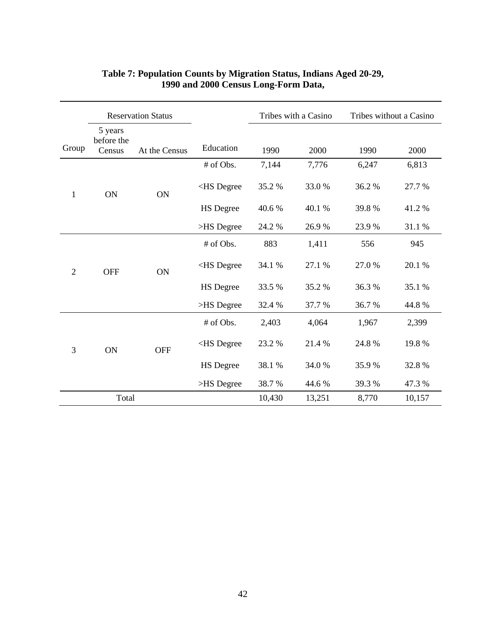|                              | <b>Reservation Status</b>       |                                                                                       |                                                                                      |        | Tribes with a Casino | Tribes without a Casino |        |
|------------------------------|---------------------------------|---------------------------------------------------------------------------------------|--------------------------------------------------------------------------------------|--------|----------------------|-------------------------|--------|
| Group                        | 5 years<br>before the<br>Census | At the Census                                                                         | Education                                                                            | 1990   | 2000                 | 1990                    | 2000   |
|                              |                                 |                                                                                       | # of Obs.                                                                            | 7,144  | 7,776                | 6,247                   | 6,813  |
| 1                            | ON                              | ON                                                                                    | <hs degree<="" td=""><td>35.2 %</td><td>33.0%</td><td>36.2%</td><td>27.7 %</td></hs> | 35.2 % | 33.0%                | 36.2%                   | 27.7 % |
|                              |                                 |                                                                                       | <b>HS</b> Degree                                                                     | 40.6 % | 40.1 %               | 39.8%                   | 41.2%  |
|                              |                                 | >HS Degree                                                                            | 24.2 %                                                                               | 26.9%  | 23.9%                | 31.1 %                  |        |
| <b>OFF</b><br>$\overline{2}$ | <b>ON</b>                       | # of Obs.                                                                             | 883                                                                                  | 1,411  | 556                  | 945                     |        |
|                              |                                 | <hs degree<="" td=""><td>34.1 %</td><td>27.1 %</td><td>27.0%</td><td>20.1 %</td></hs> | 34.1 %                                                                               | 27.1 % | 27.0%                | 20.1 %                  |        |
|                              |                                 |                                                                                       | <b>HS</b> Degree                                                                     | 33.5 % | 35.2 %               | 36.3%                   | 35.1 % |
|                              |                                 | >HS Degree                                                                            | 32.4 %                                                                               | 37.7 % | 36.7%                | 44.8%                   |        |
|                              |                                 |                                                                                       | # of Obs.                                                                            | 2,403  | 4,064                | 1,967                   | 2,399  |
| 3<br>ON                      | <b>OFF</b>                      | <hs degree<="" td=""><td>23.2 %</td><td>21.4%</td><td>24.8%</td><td>19.8%</td></hs>   | 23.2 %                                                                               | 21.4%  | 24.8%                | 19.8%                   |        |
|                              |                                 |                                                                                       | <b>HS</b> Degree                                                                     | 38.1 % | 34.0 %               | 35.9%                   | 32.8%  |
|                              |                                 |                                                                                       | >HS Degree                                                                           | 38.7%  | 44.6 %               | 39.3%                   | 47.3 % |
|                              | Total                           |                                                                                       |                                                                                      | 10,430 | 13,251               | 8,770                   | 10,157 |

# **Table 7: Population Counts by Migration Status, Indians Aged 20-29, 1990 and 2000 Census Long-Form Data,**